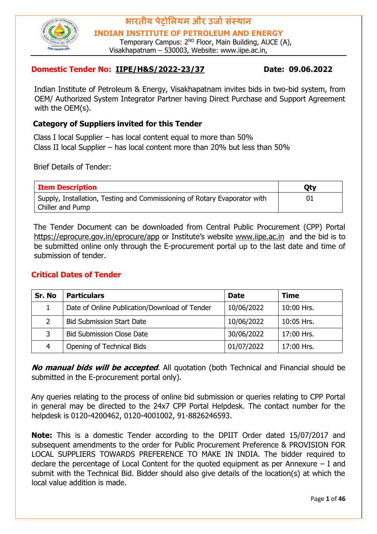

**INDIAN INSTITUTE OF PETROLEUM AND ENERGY**

Temporary Campus: 2<sup>ND</sup> Floor, Main Building, AUCE (A), Visakhapatnam – 530003, Website: www.iipe.ac.in,

#### **Domestic Tender No: IIPE/H&S/2022-23/37 Date: 09.06.2022**

Indian Institute of Petroleum & Energy, Visakhapatnam invites bids in two-bid system, from OEM/ Authorized System Integrator Partner having Direct Purchase and Support Agreement with the OEM(s).

#### **Category of Suppliers invited for this Tender**

Class I local Supplier – has local content equal to more than 50% Class II local Supplier – has local content more than 20% but less than 50%

Brief Details of Tender:

| <b>Item Description</b>                                                   | <b>Qty</b> |
|---------------------------------------------------------------------------|------------|
| Supply, Installation, Testing and Commissioning of Rotary Evaporator with |            |
| Chiller and Pump                                                          |            |

The Tender Document can be downloaded from Central Public Procurement (CPP) Portal <https://eprocure.gov.in/eprocure/app> [o](https://eprocure.gov.in/eprocure/app)r Institute's website [www.iipe.ac.in](http://www.iipe.ac.in/) and the bid is to be submitted online only through the E-procurement portal up to the last date and time of submission of tender.

#### **Critical Dates of Tender**

| Sr. No | <b>Particulars</b>                            | <b>Date</b> | <b>Time</b> |
|--------|-----------------------------------------------|-------------|-------------|
|        | Date of Online Publication/Download of Tender | 10/06/2022  | 10:00 Hrs.  |
|        | <b>Bid Submission Start Date</b>              | 10/06/2022  | 10:05 Hrs.  |
| 3      | <b>Bid Submission Close Date</b>              | 30/06/2022  | 17:00 Hrs.  |
| 4      | Opening of Technical Bids                     | 01/07/2022  | 17:00 Hrs.  |

**No manual bids will be accepted**. All quotation (both Technical and Financial should be submitted in the E-procurement portal only).

Any queries relating to the process of online bid submission or queries relating to CPP Portal in general may be directed to the 24x7 CPP Portal Helpdesk. The contact number for the helpdesk is 0120-4200462, 0120-4001002, 91-8826246593.

**Note:** This is a domestic Tender according to the DPIIT Order dated 15/07/2017 and subsequent amendments to the order for Public Procurement Preference & PROVISION FOR LOCAL SUPPLIERS TOWARDS PREFERENCE TO MAKE IN INDIA. The bidder required to declare the percentage of Local Content for the quoted equipment as per Annexure – I and submit with the Technical Bid. Bidder should also give details of the location(s) at which the local value addition is made.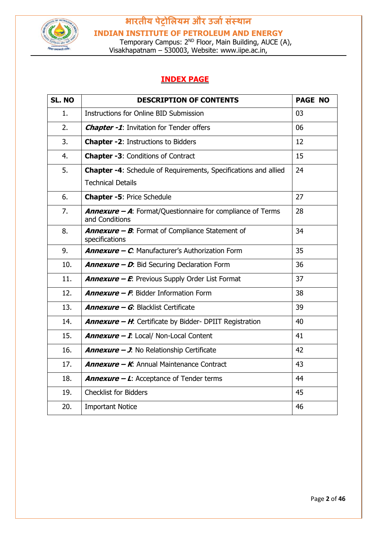

**INDIAN INSTITUTE OF PETROLEUM AND ENERGY**

Temporary Campus: 2<sup>ND</sup> Floor, Main Building, AUCE (A), Visakhapatnam – 530003, Website: www.iipe.ac.in,

#### **INDEX PAGE**

| SL. NO | <b>DESCRIPTION OF CONTENTS</b>                                                      | <b>PAGE NO</b> |
|--------|-------------------------------------------------------------------------------------|----------------|
| 1.     | Instructions for Online BID Submission                                              | 03             |
| 2.     | <b>Chapter -1:</b> Invitation for Tender offers                                     | 06             |
| 3.     | <b>Chapter -2: Instructions to Bidders</b>                                          | 12             |
| 4.     | <b>Chapter -3: Conditions of Contract</b>                                           | 15             |
| 5.     | <b>Chapter -4:</b> Schedule of Requirements, Specifications and allied              | 24             |
|        | <b>Technical Details</b>                                                            |                |
| 6.     | <b>Chapter -5: Price Schedule</b>                                                   | 27             |
| 7.     | <b>Annexure - A:</b> Format/Questionnaire for compliance of Terms<br>and Conditions | 28             |
| 8.     | <b>Annexure - B:</b> Format of Compliance Statement of<br>specifications            | 34             |
| 9.     | <b>Annexure - C.</b> Manufacturer's Authorization Form                              | 35             |
| 10.    | <b>Annexure - D:</b> Bid Securing Declaration Form                                  | 36             |
| 11.    | <b>Annexure - E:</b> Previous Supply Order List Format                              | 37             |
| 12.    | <b>Annexure - F.</b> Bidder Information Form                                        | 38             |
| 13.    | <b>Annexure - G: Blacklist Certificate</b>                                          | 39             |
| 14.    | <b>Annexure - H:</b> Certificate by Bidder- DPIIT Registration                      | 40             |
| 15.    | <b>Annexure - I:</b> Local/ Non-Local Content                                       | 41             |
| 16.    | <b>Annexure - J.</b> No Relationship Certificate                                    | 42             |
| 17.    | <b>Annexure - K:</b> Annual Maintenance Contract                                    | 43             |
| 18.    | <b>Annexure – L:</b> Acceptance of Tender terms                                     | 44             |
| 19.    | <b>Checklist for Bidders</b>                                                        | 45             |
| 20.    | <b>Important Notice</b>                                                             | 46             |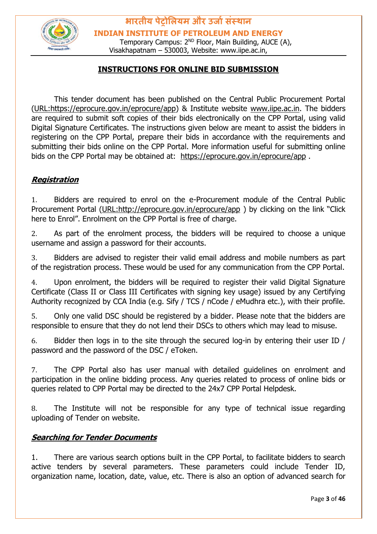

Temporary Campus: 2<sup>ND</sup> Floor, Main Building, AUCE (A), Visakhapatnam – 530003, Website: www.iipe.ac.in,

#### **INSTRUCTIONS FOR ONLINE BID SUBMISSION**

This tender document has been published on the Central Public Procurement Portal [\(URL:https://eprocure.gov.in/eprocure/app\)](https://eprocure.gov.in/eprocure/app) & Institute website [www.iipe.ac.in.](http://www.iipe.ac.in/) The bidders are required to submit soft copies of their bids electronically on the CPP Portal, using valid Digital Signature Certificates. The instructions given below are meant to assist the bidders in registering on the CPP Portal, prepare their bids in accordance with the requirements and submitting their bids online on the CPP Portal. More information useful for submitting online bids on the CPP Portal may be obtained at: <https://eprocure.gov.in/eprocure/app> .

#### **Registration**

1. Bidders are required to enrol on the e-Procurement module of the Central Public Procurement Portal [\(URL:http://eprocure.gov.in/eprocure/app](http://eprocure.gov.in/eprocure/app) [\)](http://eprocure.gov.in/eprocure/app) by clicking on the link "Click here to Enrol". Enrolment on the CPP Portal is free of charge.

2. As part of the enrolment process, the bidders will be required to choose a unique username and assign a password for their accounts.

3. Bidders are advised to register their valid email address and mobile numbers as part of the registration process. These would be used for any communication from the CPP Portal.

4. Upon enrolment, the bidders will be required to register their valid Digital Signature Certificate (Class II or Class III Certificates with signing key usage) issued by any Certifying Authority recognized by CCA India (e.g. Sify / TCS / nCode / eMudhra etc.), with their profile.

5. Only one valid DSC should be registered by a bidder. Please note that the bidders are responsible to ensure that they do not lend their DSCs to others which may lead to misuse.

6. Bidder then logs in to the site through the secured log-in by entering their user ID / password and the password of the DSC / eToken.

7. The CPP Portal also has user manual with detailed guidelines on enrolment and participation in the online bidding process. Any queries related to process of online bids or queries related to CPP Portal may be directed to the 24x7 CPP Portal Helpdesk.

8. The Institute will not be responsible for any type of technical issue regarding uploading of Tender on website.

#### **Searching for Tender Documents**

1. There are various search options built in the CPP Portal, to facilitate bidders to search active tenders by several parameters. These parameters could include Tender ID, organization name, location, date, value, etc. There is also an option of advanced search for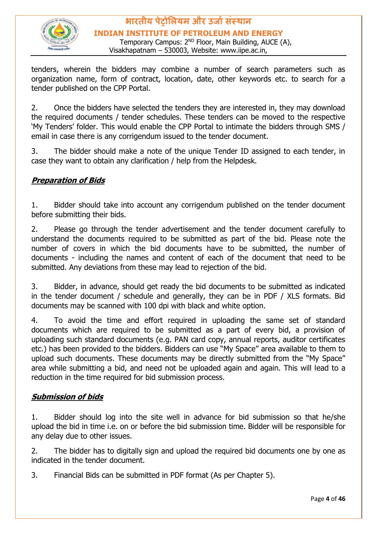

Temporary Campus: 2<sup>ND</sup> Floor, Main Building, AUCE (A), Visakhapatnam – 530003, Website: www.iipe.ac.in,

tenders, wherein the bidders may combine a number of search parameters such as organization name, form of contract, location, date, other keywords etc. to search for a tender published on the CPP Portal.

2. Once the bidders have selected the tenders they are interested in, they may download the required documents / tender schedules. These tenders can be moved to the respective 'My Tenders' folder. This would enable the CPP Portal to intimate the bidders through SMS / email in case there is any corrigendum issued to the tender document.

3. The bidder should make a note of the unique Tender ID assigned to each tender, in case they want to obtain any clarification / help from the Helpdesk.

#### **Preparation of Bids**

1. Bidder should take into account any corrigendum published on the tender document before submitting their bids.

2. Please go through the tender advertisement and the tender document carefully to understand the documents required to be submitted as part of the bid. Please note the number of covers in which the bid documents have to be submitted, the number of documents - including the names and content of each of the document that need to be submitted. Any deviations from these may lead to rejection of the bid.

3. Bidder, in advance, should get ready the bid documents to be submitted as indicated in the tender document / schedule and generally, they can be in PDF / XLS formats. Bid documents may be scanned with 100 dpi with black and white option.

4. To avoid the time and effort required in uploading the same set of standard documents which are required to be submitted as a part of every bid, a provision of uploading such standard documents (e.g. PAN card copy, annual reports, auditor certificates etc.) has been provided to the bidders. Bidders can use "My Space" area available to them to upload such documents. These documents may be directly submitted from the "My Space" area while submitting a bid, and need not be uploaded again and again. This will lead to a reduction in the time required for bid submission process.

#### **Submission of bids**

1. Bidder should log into the site well in advance for bid submission so that he/she upload the bid in time i.e. on or before the bid submission time. Bidder will be responsible for any delay due to other issues.

2. The bidder has to digitally sign and upload the required bid documents one by one as indicated in the tender document.

3. Financial Bids can be submitted in PDF format (As per Chapter 5).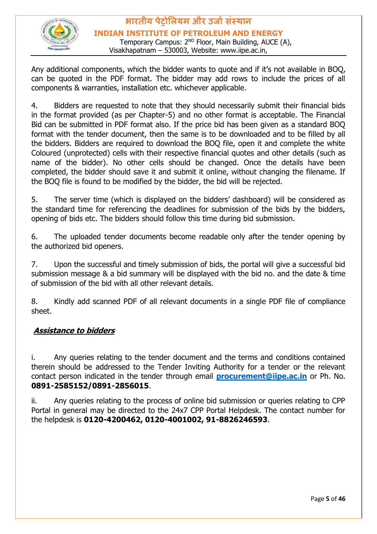

#### **भारतीय पेट्रोलियम और उर्ाासंस्थान INDIAN INSTITUTE OF PETROLEUM AND ENERGY** Temporary Campus: 2<sup>ND</sup> Floor, Main Building, AUCE (A),

Visakhapatnam – 530003, Website: www.iipe.ac.in,

Any additional components, which the bidder wants to quote and if it's not available in BOQ, can be quoted in the PDF format. The bidder may add rows to include the prices of all components & warranties, installation etc. whichever applicable.

4. Bidders are requested to note that they should necessarily submit their financial bids in the format provided (as per Chapter-5) and no other format is acceptable. The Financial Bid can be submitted in PDF format also. If the price bid has been given as a standard BOQ format with the tender document, then the same is to be downloaded and to be filled by all the bidders. Bidders are required to download the BOQ file, open it and complete the white Coloured (unprotected) cells with their respective financial quotes and other details (such as name of the bidder). No other cells should be changed. Once the details have been completed, the bidder should save it and submit it online, without changing the filename. If the BOQ file is found to be modified by the bidder, the bid will be rejected.

5. The server time (which is displayed on the bidders' dashboard) will be considered as the standard time for referencing the deadlines for submission of the bids by the bidders, opening of bids etc. The bidders should follow this time during bid submission.

6. The uploaded tender documents become readable only after the tender opening by the authorized bid openers.

7. Upon the successful and timely submission of bids, the portal will give a successful bid submission message & a bid summary will be displayed with the bid no. and the date & time of submission of the bid with all other relevant details.

8. Kindly add scanned PDF of all relevant documents in a single PDF file of compliance sheet.

#### **Assistance to bidders**

i. Any queries relating to the tender document and the terms and conditions contained therein should be addressed to the Tender Inviting Authority for a tender or the relevant contact person indicated in the tender through email **[procurement@iipe.ac.in](mailto:procurement@iipe.ac.in)** or Ph. No. **0891-2585152/0891-2856015**.

ii. Any queries relating to the process of online bid submission or queries relating to CPP Portal in general may be directed to the 24x7 CPP Portal Helpdesk. The contact number for the helpdesk is **0120-4200462, 0120-4001002, 91-8826246593**.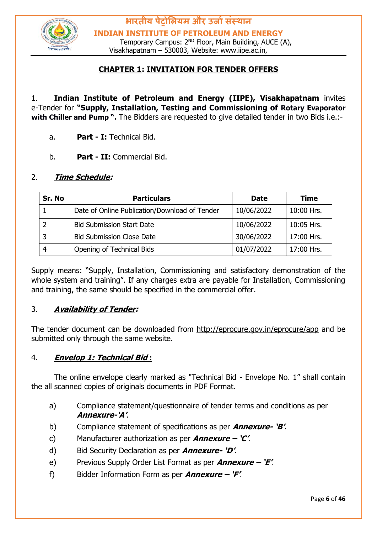

Temporary Campus: 2<sup>ND</sup> Floor, Main Building, AUCE (A), Visakhapatnam – 530003, Website: www.iipe.ac.in,

#### **CHAPTER 1: INVITATION FOR TENDER OFFERS**

1. **Indian Institute of Petroleum and Energy (IIPE), Visakhapatnam** invites e-Tender for **"Supply, Installation, Testing and Commissioning of Rotary Evaporator with Chiller and Pump ".** The Bidders are requested to give detailed tender in two Bids i.e.:-

- a. **Part - I:** Technical Bid.
- b. **Part - II:** Commercial Bid.

#### 2. **Time Schedule:**

| Sr. No         | <b>Particulars</b>                            | <b>Date</b> | <b>Time</b> |
|----------------|-----------------------------------------------|-------------|-------------|
|                | Date of Online Publication/Download of Tender | 10/06/2022  | 10:00 Hrs.  |
| -2             | <b>Bid Submission Start Date</b>              | 10/06/2022  | 10:05 Hrs.  |
| $\overline{3}$ | <b>Bid Submission Close Date</b>              | 30/06/2022  | 17:00 Hrs.  |
| $\overline{4}$ | Opening of Technical Bids                     | 01/07/2022  | 17:00 Hrs.  |

Supply means: "Supply, Installation, Commissioning and satisfactory demonstration of the whole system and training". If any charges extra are payable for Installation, Commissioning and training, the same should be specified in the commercial offer.

#### 3. **Availability of Tender:**

The tender document can be downloaded from <http://eprocure.gov.in/eprocure/app> and be submitted only through the same website.

#### 4. **Envelop 1: Technical Bid :**

The online envelope clearly marked as "Technical Bid - Envelope No. 1" shall contain the all scanned copies of originals documents in PDF Format.

- a) Compliance statement/questionnaire of tender terms and conditions as per **Annexure-'A'**.
- b) Compliance statement of specifications as per **Annexure- 'B'**.
- c) Manufacturer authorization as per **Annexure – 'C'**.
- d) Bid Security Declaration as per **Annexure- 'D'**.
- e) Previous Supply Order List Format as per **Annexure – 'E'**.
- f) Bidder Information Form as per **Annexure – 'F'**.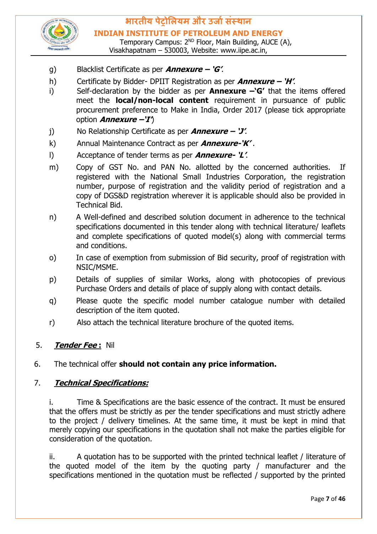

Temporary Campus: 2<sup>ND</sup> Floor, Main Building, AUCE (A), Visakhapatnam – 530003, Website: www.iipe.ac.in,

- g) Blacklist Certificate as per **Annexure – 'G'**.
- h) Certificate by Bidder- DPIIT Registration as per **Annexure – 'H'**.
- i) Self-declaration by the bidder as per **Annexure –'G'** that the items offered meet the **local/non-local content** requirement in pursuance of public procurement preference to Make in India, Order 2017 (please tick appropriate option **Annexure –'I'**)
- j) No Relationship Certificate as per **Annexure – 'J'**.
- k) Annual Maintenance Contract as per **Annexure-'K'** .
- l) Acceptance of tender terms as per **Annexure- 'L'**.
- m) Copy of GST No. and PAN No. allotted by the concerned authorities. If registered with the National Small Industries Corporation, the registration number, purpose of registration and the validity period of registration and a copy of DGS&D registration wherever it is applicable should also be provided in Technical Bid.
- n) A Well-defined and described solution document in adherence to the technical specifications documented in this tender along with technical literature/ leaflets and complete specifications of quoted model(s) along with commercial terms and conditions.
- o) In case of exemption from submission of Bid security, proof of registration with NSIC/MSME.
- p) Details of supplies of similar Works, along with photocopies of previous Purchase Orders and details of place of supply along with contact details.
- q) Please quote the specific model number catalogue number with detailed description of the item quoted.
- r) Also attach the technical literature brochure of the quoted items.

#### 5. **Tender Fee :** Nil

#### 6. The technical offer **should not contain any price information.**

#### 7. **Technical Specifications:**

i. Time & Specifications are the basic essence of the contract. It must be ensured that the offers must be strictly as per the tender specifications and must strictly adhere to the project / delivery timelines. At the same time, it must be kept in mind that merely copying our specifications in the quotation shall not make the parties eligible for consideration of the quotation.

ii. A quotation has to be supported with the printed technical leaflet / literature of the quoted model of the item by the quoting party / manufacturer and the specifications mentioned in the quotation must be reflected / supported by the printed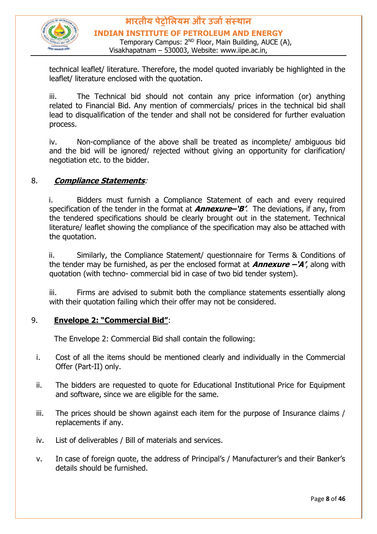

#### **भारतीय पेट्रोलियम और उर्ाासंस्थान INDIAN INSTITUTE OF PETROLEUM AND ENERGY** Temporary Campus: 2<sup>ND</sup> Floor, Main Building, AUCE (A),

Visakhapatnam – 530003, Website: www.iipe.ac.in,

technical leaflet/ literature. Therefore, the model quoted invariably be highlighted in the leaflet/ literature enclosed with the quotation.

iii. The Technical bid should not contain any price information (or) anything related to Financial Bid. Any mention of commercials/ prices in the technical bid shall lead to disqualification of the tender and shall not be considered for further evaluation process.

iv. Non-compliance of the above shall be treated as incomplete/ ambiguous bid and the bid will be ignored/ rejected without giving an opportunity for clarification/ negotiation etc. to the bidder.

#### 8. **Compliance Statements**:

i. Bidders must furnish a Compliance Statement of each and every required specification of the tender in the format at **Annexure–'B'**. The deviations, if any, from the tendered specifications should be clearly brought out in the statement. Technical literature/ leaflet showing the compliance of the specification may also be attached with the quotation.

ii. Similarly, the Compliance Statement/ questionnaire for Terms & Conditions of the tender may be furnished, as per the enclosed format at **Annexure –'A'**, along with quotation (with techno- commercial bid in case of two bid tender system).

iii. Firms are advised to submit both the compliance statements essentially along with their quotation failing which their offer may not be considered.

#### 9. **Envelope 2: "Commercial Bid"**:

The Envelope 2: Commercial Bid shall contain the following:

- i. Cost of all the items should be mentioned clearly and individually in the Commercial Offer (Part-II) only.
- ii. The bidders are requested to quote for Educational Institutional Price for Equipment and software, since we are eligible for the same.
- iii. The prices should be shown against each item for the purpose of Insurance claims / replacements if any.
- iv. List of deliverables / Bill of materials and services.
- v. In case of foreign quote, the address of Principal's / Manufacturer's and their Banker's details should be furnished.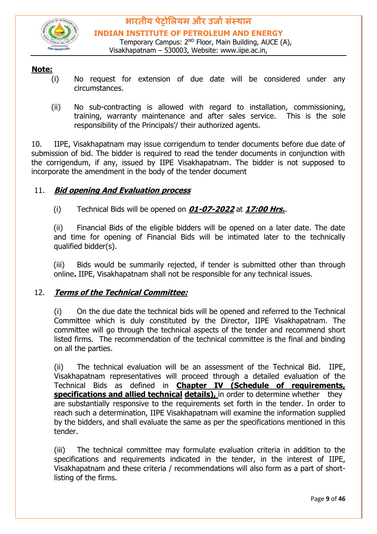

#### **Note:**

- (i) No request for extension of due date will be considered under any circumstances.
- (ii) No sub-contracting is allowed with regard to installation, commissioning, training, warranty maintenance and after sales service. This is the sole responsibility of the Principals'/ their authorized agents.

10. IIPE, Visakhapatnam may issue corrigendum to tender documents before due date of submission of bid. The bidder is required to read the tender documents in conjunction with the corrigendum, if any, issued by IIPE Visakhapatnam. The bidder is not supposed to incorporate the amendment in the body of the tender document

#### 11. **Bid opening And Evaluation process**

(i) Technical Bids will be opened on **01-07-2022** at **17:00 Hrs.**.

(ii) Financial Bids of the eligible bidders will be opened on a later date. The date and time for opening of Financial Bids will be intimated later to the technically qualified bidder(s).

(iii) Bids would be summarily rejected, if tender is submitted other than through online**.** IIPE, Visakhapatnam shall not be responsible for any technical issues.

#### 12. **Terms of the Technical Committee:**

(i) On the due date the technical bids will be opened and referred to the Technical Committee which is duly constituted by the Director, IIPE Visakhapatnam. The committee will go through the technical aspects of the tender and recommend short listed firms. The recommendation of the technical committee is the final and binding on all the parties.

(ii) The technical evaluation will be an assessment of the Technical Bid. IIPE, Visakhapatnam representatives will proceed through a detailed evaluation of the Technical Bids as defined in **Chapter IV (Schedule of requirements, specifications and allied technical details),** in order to determine whether they are substantially responsive to the requirements set forth in the tender. In order to reach such a determination, IIPE Visakhapatnam will examine the information supplied by the bidders, and shall evaluate the same as per the specifications mentioned in this tender.

(iii) The technical committee may formulate evaluation criteria in addition to the specifications and requirements indicated in the tender, in the interest of IIPE, Visakhapatnam and these criteria / recommendations will also form as a part of shortlisting of the firms.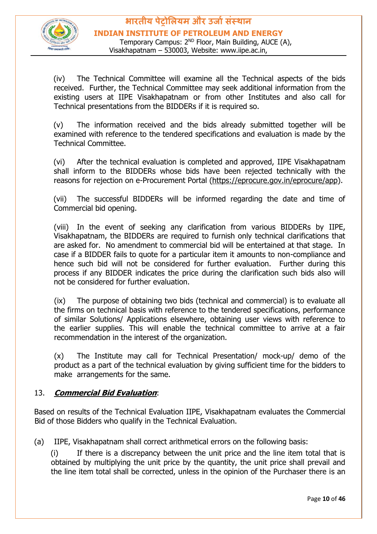

(iv) The Technical Committee will examine all the Technical aspects of the bids received. Further, the Technical Committee may seek additional information from the existing users at IIPE Visakhapatnam or from other Institutes and also call for Technical presentations from the BIDDERs if it is required so.

(v) The information received and the bids already submitted together will be examined with reference to the tendered specifications and evaluation is made by the Technical Committee.

(vi) After the technical evaluation is completed and approved, IIPE Visakhapatnam shall inform to the BIDDERs whose bids have been rejected technically with the reasons for rejection on e-Procurement Portal [\(https://eprocure.gov.in/eprocure/app\).](https://eprocure.gov.in/eprocure/app)

(vii) The successful BIDDERs will be informed regarding the date and time of Commercial bid opening.

(viii) In the event of seeking any clarification from various BIDDERs by IIPE, Visakhapatnam, the BIDDERs are required to furnish only technical clarifications that are asked for. No amendment to commercial bid will be entertained at that stage. In case if a BIDDER fails to quote for a particular item it amounts to non-compliance and hence such bid will not be considered for further evaluation. Further during this process if any BIDDER indicates the price during the clarification such bids also will not be considered for further evaluation.

(ix) The purpose of obtaining two bids (technical and commercial) is to evaluate all the firms on technical basis with reference to the tendered specifications, performance of similar Solutions/ Applications elsewhere, obtaining user views with reference to the earlier supplies. This will enable the technical committee to arrive at a fair recommendation in the interest of the organization.

(x) The Institute may call for Technical Presentation/ mock-up/ demo of the product as a part of the technical evaluation by giving sufficient time for the bidders to make arrangements for the same.

#### 13. **Commercial Bid Evaluation**:

Based on results of the Technical Evaluation IIPE, Visakhapatnam evaluates the Commercial Bid of those Bidders who qualify in the Technical Evaluation.

(a) IIPE, Visakhapatnam shall correct arithmetical errors on the following basis:

(i) If there is a discrepancy between the unit price and the line item total that is obtained by multiplying the unit price by the quantity, the unit price shall prevail and the line item total shall be corrected, unless in the opinion of the Purchaser there is an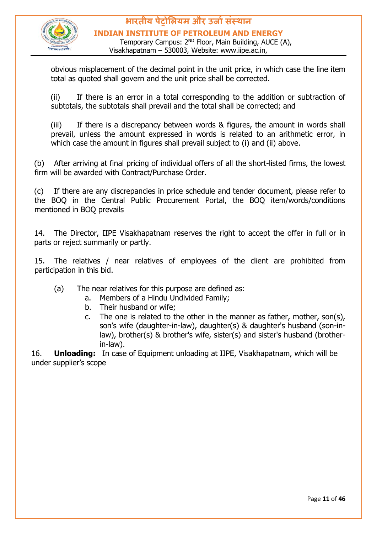

Temporary Campus: 2<sup>ND</sup> Floor, Main Building, AUCE (A), Visakhapatnam – 530003, Website: www.iipe.ac.in,

obvious misplacement of the decimal point in the unit price, in which case the line item total as quoted shall govern and the unit price shall be corrected.

(ii) If there is an error in a total corresponding to the addition or subtraction of subtotals, the subtotals shall prevail and the total shall be corrected; and

(iii) If there is a discrepancy between words & figures, the amount in words shall prevail, unless the amount expressed in words is related to an arithmetic error, in which case the amount in figures shall prevail subject to (i) and (ii) above.

(b) After arriving at final pricing of individual offers of all the short-listed firms, the lowest firm will be awarded with Contract/Purchase Order.

(c) If there are any discrepancies in price schedule and tender document, please refer to the BOQ in the Central Public Procurement Portal, the BOQ item/words/conditions mentioned in BOQ prevails

14. The Director, IIPE Visakhapatnam reserves the right to accept the offer in full or in parts or reject summarily or partly.

15. The relatives / near relatives of employees of the client are prohibited from participation in this bid.

- (a) The near relatives for this purpose are defined as:
	- a. Members of a Hindu Undivided Family;
	- b. Their husband or wife;
	- c. The one is related to the other in the manner as father, mother, son(s), son's wife (daughter-in-law), daughter(s) & daughter's husband (son-inlaw), brother(s) & brother's wife, sister(s) and sister's husband (brotherin-law).

16. **Unloading:** In case of Equipment unloading at IIPE, Visakhapatnam, which will be under supplier's scope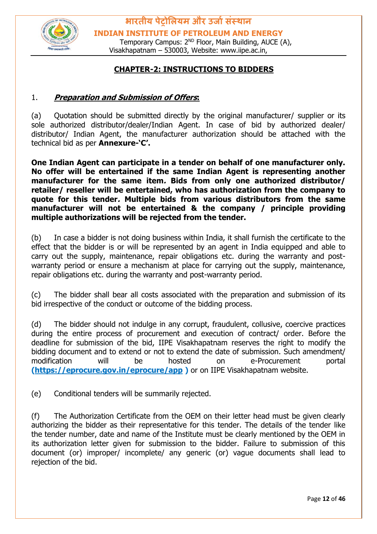

Temporary Campus: 2<sup>ND</sup> Floor, Main Building, AUCE (A), Visakhapatnam – 530003, Website: www.iipe.ac.in,

#### **CHAPTER-2: INSTRUCTIONS TO BIDDERS**

#### 1. **Preparation and Submission of Offers:**

(a) Quotation should be submitted directly by the original manufacturer/ supplier or its sole authorized distributor/dealer/Indian Agent. In case of bid by authorized dealer/ distributor/ Indian Agent, the manufacturer authorization should be attached with the technical bid as per **Annexure-'C'.**

**One Indian Agent can participate in a tender on behalf of one manufacturer only. No offer will be entertained if the same Indian Agent is representing another manufacturer for the same item. Bids from only one authorized distributor/ retailer/ reseller will be entertained, who has authorization from the company to quote for this tender. Multiple bids from various distributors from the same manufacturer will not be entertained & the company / principle providing multiple authorizations will be rejected from the tender.** 

(b) In case a bidder is not doing business within India, it shall furnish the certificate to the effect that the bidder is or will be represented by an agent in India equipped and able to carry out the supply, maintenance, repair obligations etc. during the warranty and postwarranty period or ensure a mechanism at place for carrying out the supply, maintenance, repair obligations etc. during the warranty and post-warranty period.

(c) The bidder shall bear all costs associated with the preparation and submission of its bid irrespective of the conduct or outcome of the bidding process.

(d) The bidder should not indulge in any corrupt, fraudulent, collusive, coercive practices during the entire process of procurement and execution of contract/ order. Before the deadline for submission of the bid, IIPE Visakhapatnam reserves the right to modify the bidding document and to extend or not to extend the date of submission. Such amendment/ modification will be hosted on e-Procurement portal **[\(https://eprocure.gov.in/eprocure/app](https://eprocure.gov.in/eprocure/app) )** or on IIPE Visakhapatnam website.

(e) Conditional tenders will be summarily rejected.

(f) The Authorization Certificate from the OEM on their letter head must be given clearly authorizing the bidder as their representative for this tender. The details of the tender like the tender number, date and name of the Institute must be clearly mentioned by the OEM in its authorization letter given for submission to the bidder. Failure to submission of this document (or) improper/ incomplete/ any generic (or) vague documents shall lead to rejection of the bid.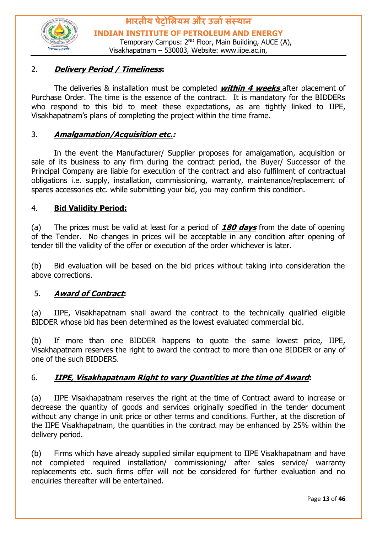

#### 2. **Delivery Period / Timeliness:**

The deliveries & installation must be completed **within 4 weeks** after placement of Purchase Order. The time is the essence of the contract. It is mandatory for the BIDDERs who respond to this bid to meet these expectations, as are tightly linked to IIPE, Visakhapatnam's plans of completing the project within the time frame.

#### 3. **Amalgamation/Acquisition etc.:**

In the event the Manufacturer/ Supplier proposes for amalgamation, acquisition or sale of its business to any firm during the contract period, the Buyer/ Successor of the Principal Company are liable for execution of the contract and also fulfilment of contractual obligations i.e. supply, installation, commissioning, warranty, maintenance/replacement of spares accessories etc. while submitting your bid, you may confirm this condition.

#### 4. **Bid Validity Period:**

(a) The prices must be valid at least for a period of **180 days** from the date of opening of the Tender. No changes in prices will be acceptable in any condition after opening of tender till the validity of the offer or execution of the order whichever is later.

(b) Bid evaluation will be based on the bid prices without taking into consideration the above corrections.

#### 5. **Award of Contract:**

(a) IIPE, Visakhapatnam shall award the contract to the technically qualified eligible BIDDER whose bid has been determined as the lowest evaluated commercial bid.

(b) If more than one BIDDER happens to quote the same lowest price, IIPE, Visakhapatnam reserves the right to award the contract to more than one BIDDER or any of one of the such BIDDERS.

#### 6. **IIPE, Visakhapatnam Right to vary Quantities at the time of Award:**

(a) IIPE Visakhapatnam reserves the right at the time of Contract award to increase or decrease the quantity of goods and services originally specified in the tender document without any change in unit price or other terms and conditions. Further, at the discretion of the IIPE Visakhapatnam, the quantities in the contract may be enhanced by 25% within the delivery period.

(b) Firms which have already supplied similar equipment to IIPE Visakhapatnam and have not completed required installation/ commissioning/ after sales service/ warranty replacements etc. such firms offer will not be considered for further evaluation and no enquiries thereafter will be entertained.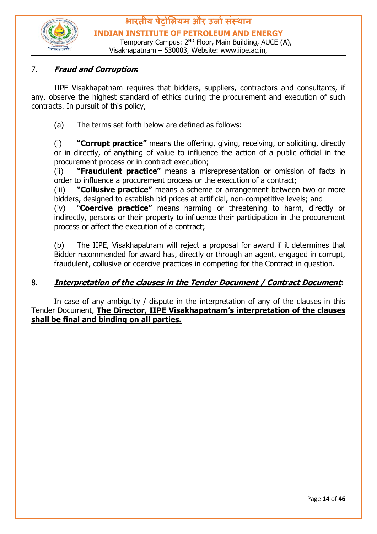

#### 7. **Fraud and Corruption:**

IIPE Visakhapatnam requires that bidders, suppliers, contractors and consultants, if any, observe the highest standard of ethics during the procurement and execution of such contracts. In pursuit of this policy,

(a) The terms set forth below are defined as follows:

(i) **"Corrupt practice"** means the offering, giving, receiving, or soliciting, directly or in directly, of anything of value to influence the action of a public official in the procurement process or in contract execution;

(ii) **"Fraudulent practice"** means a misrepresentation or omission of facts in order to influence a procurement process or the execution of a contract;

(iii) **"Collusive practice"** means a scheme or arrangement between two or more bidders, designed to establish bid prices at artificial, non-competitive levels; and

(iv) "**Coercive practice"** means harming or threatening to harm, directly or indirectly, persons or their property to influence their participation in the procurement process or affect the execution of a contract;

(b) The IIPE, Visakhapatnam will reject a proposal for award if it determines that Bidder recommended for award has, directly or through an agent, engaged in corrupt, fraudulent, collusive or coercive practices in competing for the Contract in question.

#### 8. **Interpretation of the clauses in the Tender Document / Contract Document:**

In case of any ambiguity / dispute in the interpretation of any of the clauses in this Tender Document, **The Director, IIPE Visakhapatnam's interpretation of the clauses shall be final and binding on all parties.**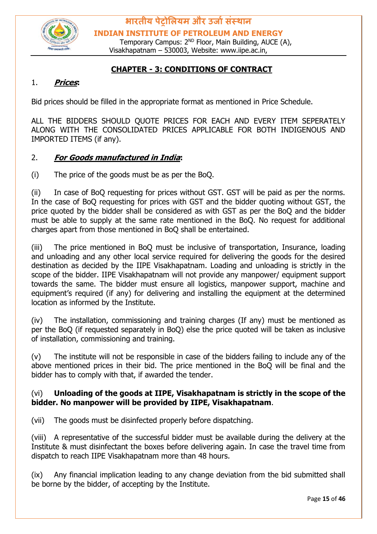

Temporary Campus: 2<sup>ND</sup> Floor, Main Building, AUCE (A), Visakhapatnam – 530003, Website: www.iipe.ac.in,

#### **CHAPTER - 3: CONDITIONS OF CONTRACT**

#### 1. **Prices:**

Bid prices should be filled in the appropriate format as mentioned in Price Schedule.

ALL THE BIDDERS SHOULD QUOTE PRICES FOR EACH AND EVERY ITEM SEPERATELY ALONG WITH THE CONSOLIDATED PRICES APPLICABLE FOR BOTH INDIGENOUS AND IMPORTED ITEMS (if any).

#### 2. **For Goods manufactured in India:**

(i) The price of the goods must be as per the BoQ.

(ii) In case of BoQ requesting for prices without GST. GST will be paid as per the norms. In the case of BoQ requesting for prices with GST and the bidder quoting without GST, the price quoted by the bidder shall be considered as with GST as per the BoQ and the bidder must be able to supply at the same rate mentioned in the BoQ. No request for additional charges apart from those mentioned in BoQ shall be entertained.

(iii) The price mentioned in BoQ must be inclusive of transportation, Insurance, loading and unloading and any other local service required for delivering the goods for the desired destination as decided by the IIPE Visakhapatnam. Loading and unloading is strictly in the scope of the bidder. IIPE Visakhapatnam will not provide any manpower/ equipment support towards the same. The bidder must ensure all logistics, manpower support, machine and equipment's required (if any) for delivering and installing the equipment at the determined location as informed by the Institute.

(iv) The installation, commissioning and training charges (If any) must be mentioned as per the BoQ (if requested separately in BoQ) else the price quoted will be taken as inclusive of installation, commissioning and training.

(v) The institute will not be responsible in case of the bidders failing to include any of the above mentioned prices in their bid. The price mentioned in the BoQ will be final and the bidder has to comply with that, if awarded the tender.

#### (vi) **Unloading of the goods at IIPE, Visakhapatnam is strictly in the scope of the bidder. No manpower will be provided by IIPE, Visakhapatnam**.

(vii) The goods must be disinfected properly before dispatching.

(viii) A representative of the successful bidder must be available during the delivery at the Institute & must disinfectant the boxes before delivering again. In case the travel time from dispatch to reach IIPE Visakhapatnam more than 48 hours.

(ix) Any financial implication leading to any change deviation from the bid submitted shall be borne by the bidder, of accepting by the Institute.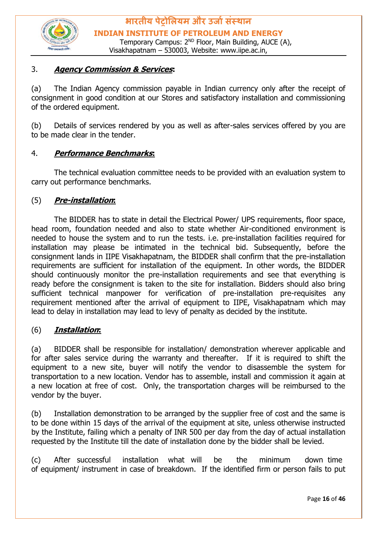

#### 3. **Agency Commission & Services:**

(a) The Indian Agency commission payable in Indian currency only after the receipt of consignment in good condition at our Stores and satisfactory installation and commissioning of the ordered equipment.

(b) Details of services rendered by you as well as after-sales services offered by you are to be made clear in the tender.

#### 4. **Performance Benchmarks:**

The technical evaluation committee needs to be provided with an evaluation system to carry out performance benchmarks.

#### (5) **Pre-installation:**

The BIDDER has to state in detail the Electrical Power/ UPS requirements, floor space, head room, foundation needed and also to state whether Air-conditioned environment is needed to house the system and to run the tests. i.e. pre-installation facilities required for installation may please be intimated in the technical bid. Subsequently, before the consignment lands in IIPE Visakhapatnam, the BIDDER shall confirm that the pre-installation requirements are sufficient for installation of the equipment. In other words, the BIDDER should continuously monitor the pre-installation requirements and see that everything is ready before the consignment is taken to the site for installation. Bidders should also bring sufficient technical manpower for verification of pre-installation pre-requisites any requirement mentioned after the arrival of equipment to IIPE, Visakhapatnam which may lead to delay in installation may lead to levy of penalty as decided by the institute.

#### (6) **Installation:**

(a) BIDDER shall be responsible for installation/ demonstration wherever applicable and for after sales service during the warranty and thereafter. If it is required to shift the equipment to a new site, buyer will notify the vendor to disassemble the system for transportation to a new location. Vendor has to assemble, install and commission it again at a new location at free of cost. Only, the transportation charges will be reimbursed to the vendor by the buyer.

(b) Installation demonstration to be arranged by the supplier free of cost and the same is to be done within 15 days of the arrival of the equipment at site, unless otherwise instructed by the Institute, failing which a penalty of INR 500 per day from the day of actual installation requested by the Institute till the date of installation done by the bidder shall be levied.

(c) After successful installation what will be the minimum down time of equipment/ instrument in case of breakdown. If the identified firm or person fails to put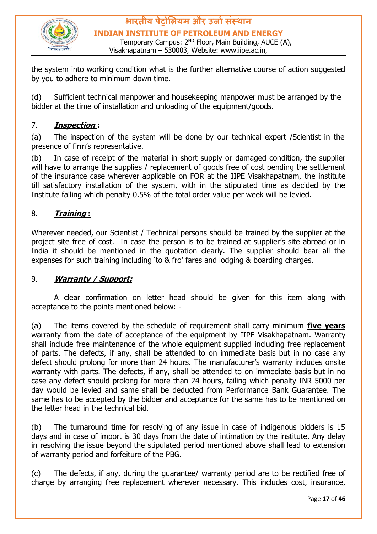

**भारतीय पेट्रोलियम और उर्ाासंस्थान INDIAN INSTITUTE OF PETROLEUM AND ENERGY** Temporary Campus: 2<sup>ND</sup> Floor, Main Building, AUCE (A),

Visakhapatnam – 530003, Website: www.iipe.ac.in,

the system into working condition what is the further alternative course of action suggested by you to adhere to minimum down time.

(d) Sufficient technical manpower and housekeeping manpower must be arranged by the bidder at the time of installation and unloading of the equipment/goods.

#### 7. **Inspection :**

(a) The inspection of the system will be done by our technical expert /Scientist in the presence of firm's representative.

(b) In case of receipt of the material in short supply or damaged condition, the supplier will have to arrange the supplies / replacement of goods free of cost pending the settlement of the insurance case wherever applicable on FOR at the IIPE Visakhapatnam, the institute till satisfactory installation of the system, with in the stipulated time as decided by the Institute failing which penalty 0.5% of the total order value per week will be levied.

#### 8. **Training :**

Wherever needed, our Scientist / Technical persons should be trained by the supplier at the project site free of cost. In case the person is to be trained at supplier's site abroad or in India it should be mentioned in the quotation clearly. The supplier should bear all the expenses for such training including 'to & fro' fares and lodging & boarding charges.

#### 9. **Warranty / Support:**

A clear confirmation on letter head should be given for this item along with acceptance to the points mentioned below: -

(a) The items covered by the schedule of requirement shall carry minimum **five years** warranty from the date of acceptance of the equipment by IIPE Visakhapatnam. Warranty shall include free maintenance of the whole equipment supplied including free replacement of parts. The defects, if any, shall be attended to on immediate basis but in no case any defect should prolong for more than 24 hours. The manufacturer's warranty includes onsite warranty with parts. The defects, if any, shall be attended to on immediate basis but in no case any defect should prolong for more than 24 hours, failing which penalty INR 5000 per day would be levied and same shall be deducted from Performance Bank Guarantee. The same has to be accepted by the bidder and acceptance for the same has to be mentioned on the letter head in the technical bid.

(b) The turnaround time for resolving of any issue in case of indigenous bidders is 15 days and in case of import is 30 days from the date of intimation by the institute. Any delay in resolving the issue beyond the stipulated period mentioned above shall lead to extension of warranty period and forfeiture of the PBG.

(c) The defects, if any, during the guarantee/ warranty period are to be rectified free of charge by arranging free replacement wherever necessary. This includes cost, insurance,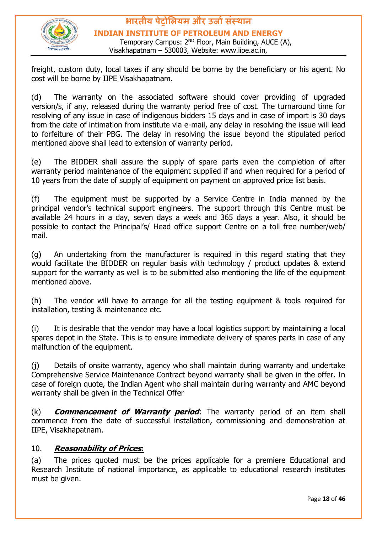

**भारतीय पेट्रोलियम और उर्ाासंस्थान INDIAN INSTITUTE OF PETROLEUM AND ENERGY** Temporary Campus: 2<sup>ND</sup> Floor, Main Building, AUCE (A), Visakhapatnam – 530003, Website: www.iipe.ac.in,

freight, custom duty, local taxes if any should be borne by the beneficiary or his agent. No cost will be borne by IIPE Visakhapatnam.

(d) The warranty on the associated software should cover providing of upgraded version/s, if any, released during the warranty period free of cost. The turnaround time for resolving of any issue in case of indigenous bidders 15 days and in case of import is 30 days from the date of intimation from institute via e-mail, any delay in resolving the issue will lead to forfeiture of their PBG. The delay in resolving the issue beyond the stipulated period mentioned above shall lead to extension of warranty period.

(e) The BIDDER shall assure the supply of spare parts even the completion of after warranty period maintenance of the equipment supplied if and when required for a period of 10 years from the date of supply of equipment on payment on approved price list basis.

(f) The equipment must be supported by a Service Centre in India manned by the principal vendor's technical support engineers. The support through this Centre must be available 24 hours in a day, seven days a week and 365 days a year. Also, it should be possible to contact the Principal's/ Head office support Centre on a toll free number/web/ mail.

(g) An undertaking from the manufacturer is required in this regard stating that they would facilitate the BIDDER on regular basis with technology / product updates & extend support for the warranty as well is to be submitted also mentioning the life of the equipment mentioned above.

(h) The vendor will have to arrange for all the testing equipment & tools required for installation, testing & maintenance etc.

(i) It is desirable that the vendor may have a local logistics support by maintaining a local spares depot in the State. This is to ensure immediate delivery of spares parts in case of any malfunction of the equipment.

(j) Details of onsite warranty, agency who shall maintain during warranty and undertake Comprehensive Service Maintenance Contract beyond warranty shall be given in the offer. In case of foreign quote, the Indian Agent who shall maintain during warranty and AMC beyond warranty shall be given in the Technical Offer

(k) **Commencement of Warranty period**: The warranty period of an item shall commence from the date of successful installation, commissioning and demonstration at IIPE, Visakhapatnam.

#### 10. **Reasonability of Prices:**

(a) The prices quoted must be the prices applicable for a premiere Educational and Research Institute of national importance, as applicable to educational research institutes must be given.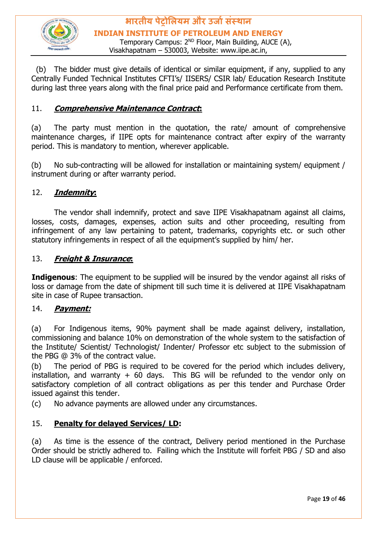

**भारतीय पेट्रोलियम और उर्ाासंस्थान INDIAN INSTITUTE OF PETROLEUM AND ENERGY** Temporary Campus: 2<sup>ND</sup> Floor, Main Building, AUCE (A), Visakhapatnam – 530003, Website: www.iipe.ac.in,

 (b) The bidder must give details of identical or similar equipment, if any, supplied to any Centrally Funded Technical Institutes CFTI's/ IISERS/ CSIR lab/ Education Research Institute during last three years along with the final price paid and Performance certificate from them.

#### 11. **Comprehensive Maintenance Contract:**

(a) The party must mention in the quotation, the rate/ amount of comprehensive maintenance charges, if IIPE opts for maintenance contract after expiry of the warranty period. This is mandatory to mention, wherever applicable.

(b) No sub-contracting will be allowed for installation or maintaining system/ equipment / instrument during or after warranty period.

#### 12. **Indemnity:**

The vendor shall indemnify, protect and save IIPE Visakhapatnam against all claims, losses, costs, damages, expenses, action suits and other proceeding, resulting from infringement of any law pertaining to patent, trademarks, copyrights etc. or such other statutory infringements in respect of all the equipment's supplied by him/ her.

#### 13. **Freight & Insurance:**

**Indigenous**: The equipment to be supplied will be insured by the vendor against all risks of loss or damage from the date of shipment till such time it is delivered at IIPE Visakhapatnam site in case of Rupee transaction.

#### 14. **Payment:**

(a) For Indigenous items, 90% payment shall be made against delivery, installation, commissioning and balance 10% on demonstration of the whole system to the satisfaction of the Institute/ Scientist/ Technologist/ Indenter/ Professor etc subject to the submission of the PBG @ 3% of the contract value.

(b) The period of PBG is required to be covered for the period which includes delivery, installation, and warranty  $+$  60 days. This BG will be refunded to the vendor only on satisfactory completion of all contract obligations as per this tender and Purchase Order issued against this tender.

(c) No advance payments are allowed under any circumstances.

#### 15. **Penalty for delayed Services/ LD:**

(a) As time is the essence of the contract, Delivery period mentioned in the Purchase Order should be strictly adhered to. Failing which the Institute will forfeit PBG / SD and also LD clause will be applicable / enforced.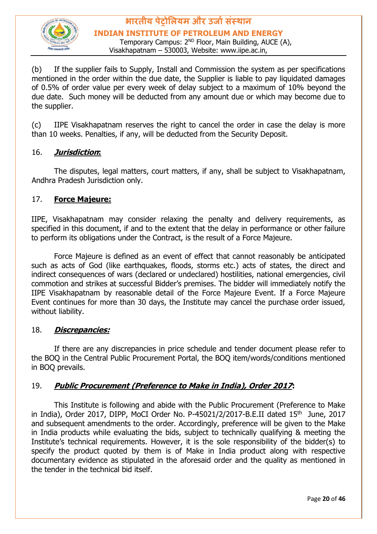

Temporary Campus: 2<sup>ND</sup> Floor, Main Building, AUCE (A), Visakhapatnam – 530003, Website: www.iipe.ac.in,

(b) If the supplier fails to Supply, Install and Commission the system as per specifications mentioned in the order within the due date, the Supplier is liable to pay liquidated damages of 0.5% of order value per every week of delay subject to a maximum of 10% beyond the due date. Such money will be deducted from any amount due or which may become due to the supplier.

(c) IIPE Visakhapatnam reserves the right to cancel the order in case the delay is more than 10 weeks. Penalties, if any, will be deducted from the Security Deposit.

#### 16. **Jurisdiction:**

The disputes, legal matters, court matters, if any, shall be subject to Visakhapatnam, Andhra Pradesh Jurisdiction only.

#### 17. **Force Majeure:**

IIPE, Visakhapatnam may consider relaxing the penalty and delivery requirements, as specified in this document, if and to the extent that the delay in performance or other failure to perform its obligations under the Contract, is the result of a Force Majeure.

Force Majeure is defined as an event of effect that cannot reasonably be anticipated such as acts of God (like earthquakes, floods, storms etc.) acts of states, the direct and indirect consequences of wars (declared or undeclared) hostilities, national emergencies, civil commotion and strikes at successful Bidder's premises. The bidder will immediately notify the IIPE Visakhapatnam by reasonable detail of the Force Majeure Event. If a Force Majeure Event continues for more than 30 days, the Institute may cancel the purchase order issued, without liability.

#### 18. **Discrepancies:**

If there are any discrepancies in price schedule and tender document please refer to the BOQ in the Central Public Procurement Portal, the BOQ item/words/conditions mentioned in BOQ prevails.

#### 19. **Public Procurement (Preference to Make in India), Order 2017:**

This Institute is following and abide with the Public Procurement (Preference to Make in India), Order 2017, DIPP, MoCI Order No. P-45021/2/2017-B.E.II dated  $15<sup>th</sup>$  June, 2017 and subsequent amendments to the order. Accordingly, preference will be given to the Make in India products while evaluating the bids, subject to technically qualifying & meeting the Institute's technical requirements. However, it is the sole responsibility of the bidder(s) to specify the product quoted by them is of Make in India product along with respective documentary evidence as stipulated in the aforesaid order and the quality as mentioned in the tender in the technical bid itself.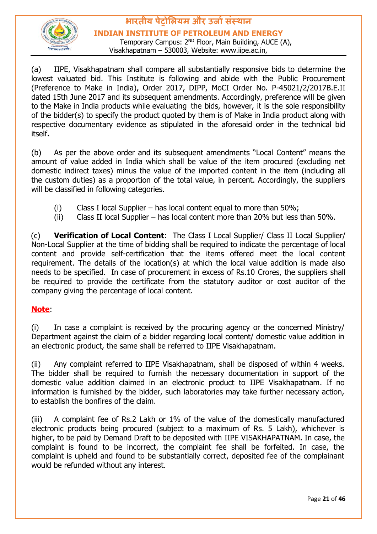

**INDIAN INSTITUTE OF PETROLEUM AND ENERGY**

Temporary Campus: 2<sup>ND</sup> Floor, Main Building, AUCE (A), Visakhapatnam – 530003, Website: www.iipe.ac.in,

(a) IIPE, Visakhapatnam shall compare all substantially responsive bids to determine the lowest valuated bid. This Institute is following and abide with the Public Procurement (Preference to Make in India), Order 2017, DIPP, MoCI Order No. P-45021/2/2017B.E.II dated 15th June 2017 and its subsequent amendments. Accordingly, preference will be given to the Make in India products while evaluating the bids, however, it is the sole responsibility of the bidder(s) to specify the product quoted by them is of Make in India product along with respective documentary evidence as stipulated in the aforesaid order in the technical bid itself**.** 

(b) As per the above order and its subsequent amendments "Local Content" means the amount of value added in India which shall be value of the item procured (excluding net domestic indirect taxes) minus the value of the imported content in the item (including all the custom duties) as a proportion of the total value, in percent. Accordingly, the suppliers will be classified in following categories.

- (i) Class I local Supplier has local content equal to more than  $50\%$ ;
- (ii) Class II local Supplier has local content more than 20% but less than 50%.

(c) **Verification of Local Content**: The Class I Local Supplier/ Class II Local Supplier/ Non-Local Supplier at the time of bidding shall be required to indicate the percentage of local content and provide self-certification that the items offered meet the local content requirement. The details of the location(s) at which the local value addition is made also needs to be specified. In case of procurement in excess of Rs.10 Crores, the suppliers shall be required to provide the certificate from the statutory auditor or cost auditor of the company giving the percentage of local content.

#### **Note**:

(i) In case a complaint is received by the procuring agency or the concerned Ministry/ Department against the claim of a bidder regarding local content/ domestic value addition in an electronic product, the same shall be referred to IIPE Visakhapatnam.

(ii) Any complaint referred to IIPE Visakhapatnam, shall be disposed of within 4 weeks. The bidder shall be required to furnish the necessary documentation in support of the domestic value addition claimed in an electronic product to IIPE Visakhapatnam. If no information is furnished by the bidder, such laboratories may take further necessary action, to establish the bonfires of the claim.

(iii) A complaint fee of Rs.2 Lakh or 1% of the value of the domestically manufactured electronic products being procured (subject to a maximum of Rs. 5 Lakh), whichever is higher, to be paid by Demand Draft to be deposited with IIPE VISAKHAPATNAM. In case, the complaint is found to be incorrect, the complaint fee shall be forfeited. In case, the complaint is upheld and found to be substantially correct, deposited fee of the complainant would be refunded without any interest.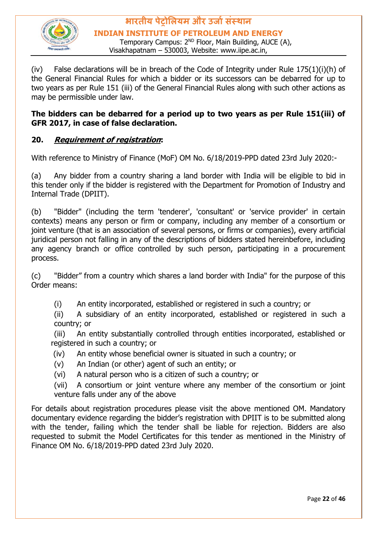

#### **भारतीय पेट्रोलियम और उर्ाासंस्थान INDIAN INSTITUTE OF PETROLEUM AND ENERGY** Temporary Campus: 2<sup>ND</sup> Floor, Main Building, AUCE (A),

Visakhapatnam – 530003, Website: www.iipe.ac.in,

(iv) False declarations will be in breach of the Code of Integrity under Rule  $175(1)(i)(h)$  of the General Financial Rules for which a bidder or its successors can be debarred for up to two years as per Rule 151 (iii) of the General Financial Rules along with such other actions as may be permissible under law.

#### **The bidders can be debarred for a period up to two years as per Rule 151(iii) of GFR 2017, in case of false declaration.**

#### **20. Requirement of registration:**

With reference to Ministry of Finance (MoF) OM No. 6/18/2019-PPD dated 23rd July 2020:-

(a) Any bidder from a country sharing a land border with India will be eligible to bid in this tender only if the bidder is registered with the Department for Promotion of Industry and Internal Trade (DPIIT).

(b) "Bidder" (including the term 'tenderer', 'consultant' or 'service provider' in certain contexts) means any person or firm or company, including any member of a consortium or joint venture (that is an association of several persons, or firms or companies), every artificial juridical person not falling in any of the descriptions of bidders stated hereinbefore, including any agency branch or office controlled by such person, participating in a procurement process.

(c) "Bidder" from a country which shares a land border with India" for the purpose of this Order means:

(i) An entity incorporated, established or registered in such a country; or

(ii) A subsidiary of an entity incorporated, established or registered in such a country; or

(iii) An entity substantially controlled through entities incorporated, established or registered in such a country; or

- (iv) An entity whose beneficial owner is situated in such a country; or
- (v) An Indian (or other) agent of such an entity; or
- (vi) A natural person who is a citizen of such a country; or

(vii) A consortium or joint venture where any member of the consortium or joint venture falls under any of the above

For details about registration procedures please visit the above mentioned OM. Mandatory documentary evidence regarding the bidder's registration with DPIIT is to be submitted along with the tender, failing which the tender shall be liable for rejection. Bidders are also requested to submit the Model Certificates for this tender as mentioned in the Ministry of Finance OM No. 6/18/2019-PPD dated 23rd July 2020.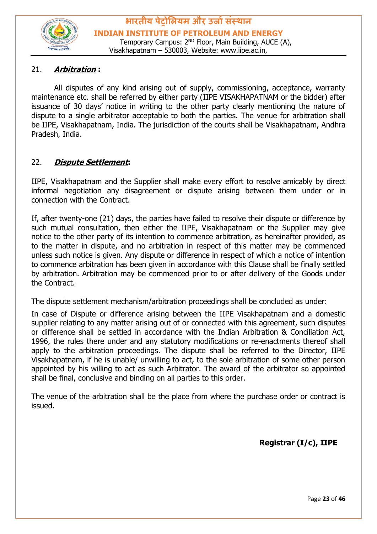

#### 21. **Arbitration :**

All disputes of any kind arising out of supply, commissioning, acceptance, warranty maintenance etc. shall be referred by either party (IIPE VISAKHAPATNAM or the bidder) after issuance of 30 days' notice in writing to the other party clearly mentioning the nature of dispute to a single arbitrator acceptable to both the parties. The venue for arbitration shall be IIPE, Visakhapatnam, India. The jurisdiction of the courts shall be Visakhapatnam, Andhra Pradesh, India.

#### 22. **Dispute Settlement:**

IIPE, Visakhapatnam and the Supplier shall make every effort to resolve amicably by direct informal negotiation any disagreement or dispute arising between them under or in connection with the Contract.

If, after twenty-one (21) days, the parties have failed to resolve their dispute or difference by such mutual consultation, then either the IIPE, Visakhapatnam or the Supplier may give notice to the other party of its intention to commence arbitration, as hereinafter provided, as to the matter in dispute, and no arbitration in respect of this matter may be commenced unless such notice is given. Any dispute or difference in respect of which a notice of intention to commence arbitration has been given in accordance with this Clause shall be finally settled by arbitration. Arbitration may be commenced prior to or after delivery of the Goods under the Contract.

The dispute settlement mechanism/arbitration proceedings shall be concluded as under:

In case of Dispute or difference arising between the IIPE Visakhapatnam and a domestic supplier relating to any matter arising out of or connected with this agreement, such disputes or difference shall be settled in accordance with the Indian Arbitration & Conciliation Act, 1996, the rules there under and any statutory modifications or re-enactments thereof shall apply to the arbitration proceedings. The dispute shall be referred to the Director, IIPE Visakhapatnam, if he is unable/ unwilling to act, to the sole arbitration of some other person appointed by his willing to act as such Arbitrator. The award of the arbitrator so appointed shall be final, conclusive and binding on all parties to this order.

The venue of the arbitration shall be the place from where the purchase order or contract is issued.

**Registrar (I/c), IIPE**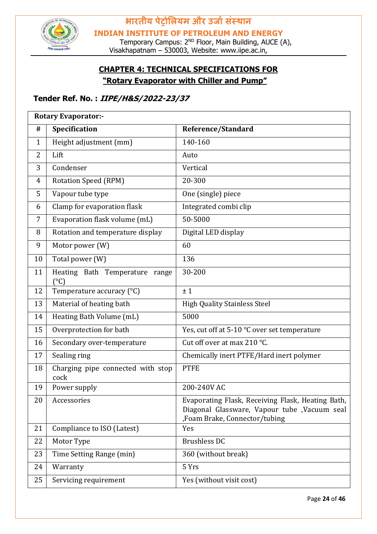

Temporary Campus: 2<sup>ND</sup> Floor, Main Building, AUCE (A), Visakhapatnam – 530003, Website: www.iipe.ac.in,

#### **CHAPTER 4: TECHNICAL SPECIFICATIONS FOR "Rotary Evaporator with Chiller and Pump"**

#### **Tender Ref. No. : IIPE/H&S/2022-23/37**

|              | <b>Rotary Evaporator:-</b>                      |                                                                                                                                     |  |
|--------------|-------------------------------------------------|-------------------------------------------------------------------------------------------------------------------------------------|--|
| #            | Specification                                   | <b>Reference/Standard</b>                                                                                                           |  |
| $\mathbf{1}$ | Height adjustment (mm)                          | 140-160                                                                                                                             |  |
| 2            | Lift                                            | Auto                                                                                                                                |  |
| 3            | Condenser                                       | Vertical                                                                                                                            |  |
| 4            | <b>Rotation Speed (RPM)</b>                     | 20-300                                                                                                                              |  |
| 5            | Vapour tube type                                | One (single) piece                                                                                                                  |  |
| 6            | Clamp for evaporation flask                     | Integrated combi clip                                                                                                               |  |
| 7            | Evaporation flask volume (mL)                   | 50-5000                                                                                                                             |  |
| 8            | Rotation and temperature display                | Digital LED display                                                                                                                 |  |
| 9            | Motor power (W)                                 | 60                                                                                                                                  |  |
| 10           | Total power (W)                                 | 136                                                                                                                                 |  |
| 11           | Heating Bath Temperature range<br>$(^{\circ}C)$ | 30-200                                                                                                                              |  |
| 12           | Temperature accuracy (°C)                       | ±1                                                                                                                                  |  |
| 13           | Material of heating bath                        | <b>High Quality Stainless Steel</b>                                                                                                 |  |
| 14           | Heating Bath Volume (mL)                        | 5000                                                                                                                                |  |
| 15           | Overprotection for bath                         | Yes, cut off at 5-10 °C over set temperature                                                                                        |  |
| 16           | Secondary over-temperature                      | Cut off over at max 210 °C.                                                                                                         |  |
| 17           | Sealing ring                                    | Chemically inert PTFE/Hard inert polymer                                                                                            |  |
| 18           | Charging pipe connected with stop<br>cock       | <b>PTFE</b>                                                                                                                         |  |
| 19           | Power supply                                    | 200-240V AC                                                                                                                         |  |
| 20           | Accessories                                     | Evaporating Flask, Receiving Flask, Heating Bath,<br>Diagonal Glassware, Vapour tube , Vacuum seal<br>,Foam Brake, Connector/tubing |  |
| 21           | Compliance to ISO (Latest)                      | Yes                                                                                                                                 |  |
| 22           | Motor Type                                      | <b>Brushless DC</b>                                                                                                                 |  |
| 23           | Time Setting Range (min)                        | 360 (without break)                                                                                                                 |  |
| 24           | Warranty                                        | 5 Yrs                                                                                                                               |  |
| 25           | Servicing requirement                           | Yes (without visit cost)                                                                                                            |  |

Page **24** of **46**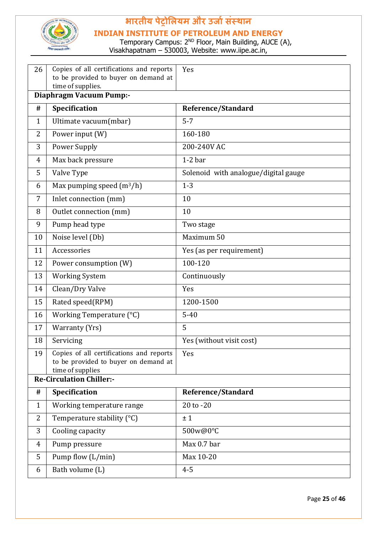

#### **INDIAN INSTITUTE OF PETROLEUM AND ENERGY**

| 26             | Copies of all certifications and reports<br>to be provided to buyer on demand at<br>time of supplies. | Yes                                  |  |  |  |  |  |
|----------------|-------------------------------------------------------------------------------------------------------|--------------------------------------|--|--|--|--|--|
|                | Diaphragm Vacuum Pump:-                                                                               |                                      |  |  |  |  |  |
| #              | Specification                                                                                         | Reference/Standard                   |  |  |  |  |  |
| $\mathbf{1}$   | Ultimate vacuum(mbar)                                                                                 | $5 - 7$                              |  |  |  |  |  |
| 2              | Power input (W)                                                                                       | 160-180                              |  |  |  |  |  |
| 3              | <b>Power Supply</b>                                                                                   | 200-240V AC                          |  |  |  |  |  |
| $\overline{4}$ | Max back pressure                                                                                     | $1-2bar$                             |  |  |  |  |  |
| 5              | Valve Type                                                                                            | Solenoid with analogue/digital gauge |  |  |  |  |  |
| 6              | Max pumping speed $(m^3/h)$                                                                           | $1 - 3$                              |  |  |  |  |  |
| 7              | Inlet connection (mm)                                                                                 | 10                                   |  |  |  |  |  |
| 8              | Outlet connection (mm)                                                                                | 10                                   |  |  |  |  |  |
| 9              | Pump head type                                                                                        | Two stage                            |  |  |  |  |  |
| 10             | Noise level (Db)                                                                                      | Maximum 50                           |  |  |  |  |  |
| 11             | Accessories                                                                                           | Yes (as per requirement)             |  |  |  |  |  |
| 12             | Power consumption (W)                                                                                 | 100-120                              |  |  |  |  |  |
| 13             | <b>Working System</b>                                                                                 | Continuously                         |  |  |  |  |  |
| 14             | Clean/Dry Valve                                                                                       | Yes                                  |  |  |  |  |  |
| 15             | Rated speed(RPM)                                                                                      | 1200-1500                            |  |  |  |  |  |
| 16             | Working Temperature (°C)                                                                              | $5 - 40$                             |  |  |  |  |  |
| 17             | Warranty (Yrs)                                                                                        | 5                                    |  |  |  |  |  |
| 18             | Servicing                                                                                             | Yes (without visit cost)             |  |  |  |  |  |
| 19             | Copies of all certifications and reports<br>to be provided to buyer on demand at<br>time of supplies  | Yes                                  |  |  |  |  |  |
|                | <b>Re-Circulation Chiller:-</b>                                                                       |                                      |  |  |  |  |  |
| #              | Specification                                                                                         | Reference/Standard                   |  |  |  |  |  |
| $\mathbf{1}$   | Working temperature range                                                                             | 20 to -20                            |  |  |  |  |  |
| 2              | Temperature stability (°C)                                                                            | ±1                                   |  |  |  |  |  |
| 3              | Cooling capacity                                                                                      | 500w@0°C                             |  |  |  |  |  |
| 4              | Pump pressure                                                                                         | Max 0.7 bar                          |  |  |  |  |  |
| 5              | Pump flow (L/min)                                                                                     | Max 10-20                            |  |  |  |  |  |
| 6              | Bath volume (L)                                                                                       | $4 - 5$                              |  |  |  |  |  |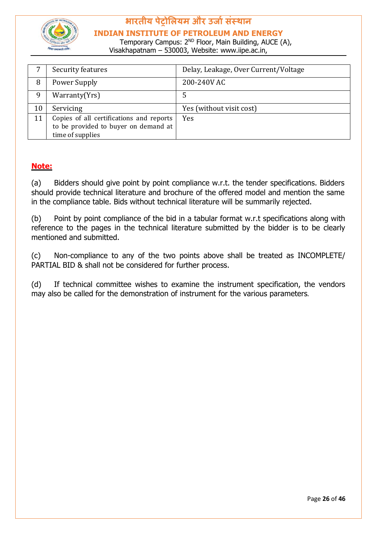

**INDIAN INSTITUTE OF PETROLEUM AND ENERGY**

Temporary Campus: 2<sup>ND</sup> Floor, Main Building, AUCE (A), Visakhapatnam – 530003, Website: www.iipe.ac.in,

|    | Security features                                                                                    | Delay, Leakage, Over Current/Voltage |
|----|------------------------------------------------------------------------------------------------------|--------------------------------------|
| 8  | Power Supply                                                                                         | 200-240V AC                          |
| 9  | Warranty(Yrs)                                                                                        | כ                                    |
| 10 | Servicing                                                                                            | Yes (without visit cost)             |
| 11 | Copies of all certifications and reports<br>to be provided to buyer on demand at<br>time of supplies | Yes                                  |

#### **Note:**

(a) Bidders should give point by point compliance w.r.t. the tender specifications. Bidders should provide technical literature and brochure of the offered model and mention the same in the compliance table. Bids without technical literature will be summarily rejected.

(b) Point by point compliance of the bid in a tabular format w.r.t specifications along with reference to the pages in the technical literature submitted by the bidder is to be clearly mentioned and submitted.

(c) Non-compliance to any of the two points above shall be treated as INCOMPLETE/ PARTIAL BID & shall not be considered for further process.

(d) If technical committee wishes to examine the instrument specification, the vendors may also be called for the demonstration of instrument for the various parameters.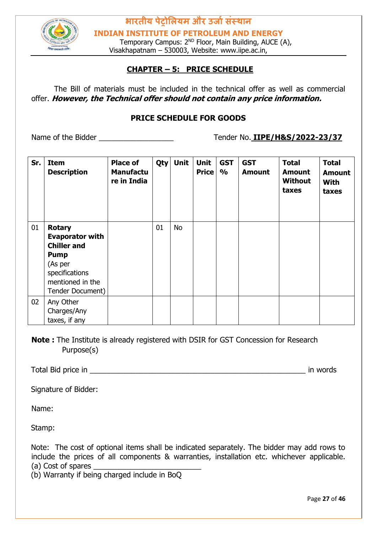

Temporary Campus: 2<sup>ND</sup> Floor, Main Building, AUCE (A), Visakhapatnam – 530003, Website: www.iipe.ac.in,

#### **CHAPTER – 5: PRICE SCHEDULE**

The Bill of materials must be included in the technical offer as well as commercial offer. **However, the Technical offer should not contain any price information.**

#### **PRICE SCHEDULE FOR GOODS**

Name of the Bidder **No. 1IPE/H&S/2022-23/37** 

| Sr. | <b>Item</b><br><b>Description</b>                                                                                                                 | <b>Place of</b><br><b>Manufactu</b><br>re in India | Qty | <b>Unit</b> | <b>Unit</b><br><b>Price</b> | <b>GST</b><br>$\frac{1}{2}$ | <b>GST</b><br><b>Amount</b> | <b>Total</b><br><b>Amount</b><br><b>Without</b><br>taxes | <b>Total</b><br><b>Amount</b><br><b>With</b><br>taxes |
|-----|---------------------------------------------------------------------------------------------------------------------------------------------------|----------------------------------------------------|-----|-------------|-----------------------------|-----------------------------|-----------------------------|----------------------------------------------------------|-------------------------------------------------------|
| 01  | <b>Rotary</b><br><b>Evaporator with</b><br><b>Chiller and</b><br><b>Pump</b><br>(As per<br>specifications<br>mentioned in the<br>Tender Document) |                                                    | 01  | No          |                             |                             |                             |                                                          |                                                       |
| 02  | Any Other<br>Charges/Any<br>taxes, if any                                                                                                         |                                                    |     |             |                             |                             |                             |                                                          |                                                       |

**Note :** The Institute is already registered with DSIR for GST Concession for Research Purpose(s)

Total Bid price in \_\_\_\_\_\_\_\_\_\_\_\_\_\_\_\_\_\_\_\_\_\_\_\_\_\_\_\_\_\_\_\_\_\_\_\_\_\_\_\_\_\_\_\_\_\_\_\_\_\_\_\_ in words

Signature of Bidder:

Name:

Stamp:

Note: The cost of optional items shall be indicated separately. The bidder may add rows to include the prices of all components & warranties, installation etc. whichever applicable. (a) Cost of spares

(b) Warranty if being charged include in BoQ

Page **27** of **46**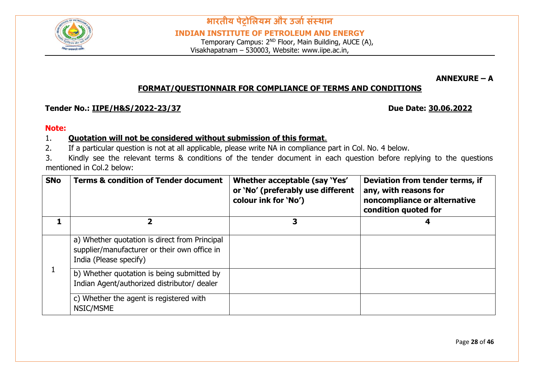

Temporary Campus: 2<sup>ND</sup> Floor, Main Building, AUCE (A), Visakhapatnam – 530003, Website: www.iipe.ac.in,

**ANNEXURE – A** 

#### **FORMAT/QUESTIONNAIR FOR COMPLIANCE OF TERMS AND CONDITIONS**

#### **Tender No.: <u>IIPE/H&S/2022-23/37</u> Due Date: 30.06.2022**

#### **Note:**

#### 1. **Quotation will not be considered without submission of this format**.

2. If a particular question is not at all applicable, please write NA in compliance part in Col. No. 4 below.

3. Kindly see the relevant terms & conditions of the tender document in each question before replying to the questions mentioned in Col.2 below:

| <b>SNo</b> | <b>Terms &amp; condition of Tender document</b>                                                                         | Whether acceptable (say 'Yes'<br>or 'No' (preferably use different<br>colour ink for 'No') | Deviation from tender terms, if<br>any, with reasons for<br>noncompliance or alternative<br>condition quoted for |
|------------|-------------------------------------------------------------------------------------------------------------------------|--------------------------------------------------------------------------------------------|------------------------------------------------------------------------------------------------------------------|
|            | 7                                                                                                                       | 3                                                                                          |                                                                                                                  |
|            | a) Whether quotation is direct from Principal<br>supplier/manufacturer or their own office in<br>India (Please specify) |                                                                                            |                                                                                                                  |
|            | b) Whether quotation is being submitted by<br>Indian Agent/authorized distributor/ dealer                               |                                                                                            |                                                                                                                  |
|            | c) Whether the agent is registered with<br>NSIC/MSME                                                                    |                                                                                            |                                                                                                                  |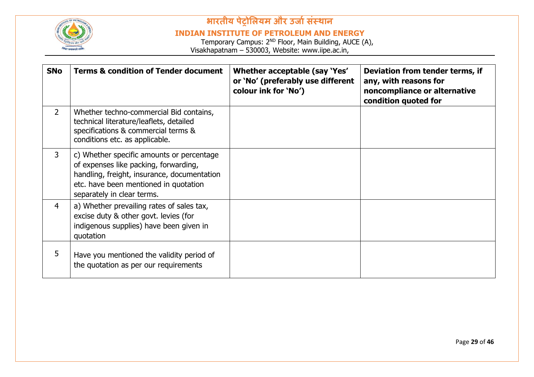

#### **INDIAN INSTITUTE OF PETROLEUM AND ENERGY**

| <b>SNo</b>     | <b>Terms &amp; condition of Tender document</b>                                                                                                                                                          | Whether acceptable (say 'Yes'<br>or 'No' (preferably use different<br>colour ink for 'No') | Deviation from tender terms, if<br>any, with reasons for<br>noncompliance or alternative<br>condition quoted for |
|----------------|----------------------------------------------------------------------------------------------------------------------------------------------------------------------------------------------------------|--------------------------------------------------------------------------------------------|------------------------------------------------------------------------------------------------------------------|
| $\overline{2}$ | Whether techno-commercial Bid contains,<br>technical literature/leaflets, detailed<br>specifications & commercial terms &<br>conditions etc. as applicable.                                              |                                                                                            |                                                                                                                  |
| 3              | c) Whether specific amounts or percentage<br>of expenses like packing, forwarding,<br>handling, freight, insurance, documentation<br>etc. have been mentioned in quotation<br>separately in clear terms. |                                                                                            |                                                                                                                  |
| $\overline{4}$ | a) Whether prevailing rates of sales tax,<br>excise duty & other govt. levies (for<br>indigenous supplies) have been given in<br>quotation                                                               |                                                                                            |                                                                                                                  |
| 5              | Have you mentioned the validity period of<br>the quotation as per our requirements                                                                                                                       |                                                                                            |                                                                                                                  |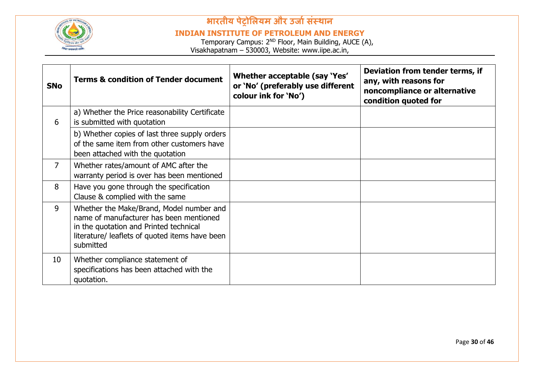

#### **INDIAN INSTITUTE OF PETROLEUM AND ENERGY**

| <b>SNo</b>      | <b>Terms &amp; condition of Tender document</b>                                                                                                                                              | Whether acceptable (say 'Yes'<br>or 'No' (preferably use different<br>colour ink for 'No') | Deviation from tender terms, if<br>any, with reasons for<br>noncompliance or alternative<br>condition quoted for |
|-----------------|----------------------------------------------------------------------------------------------------------------------------------------------------------------------------------------------|--------------------------------------------------------------------------------------------|------------------------------------------------------------------------------------------------------------------|
| 6               | a) Whether the Price reasonability Certificate<br>is submitted with quotation                                                                                                                |                                                                                            |                                                                                                                  |
|                 | b) Whether copies of last three supply orders<br>of the same item from other customers have<br>been attached with the quotation                                                              |                                                                                            |                                                                                                                  |
| $\overline{7}$  | Whether rates/amount of AMC after the<br>warranty period is over has been mentioned                                                                                                          |                                                                                            |                                                                                                                  |
| 8               | Have you gone through the specification<br>Clause & complied with the same                                                                                                                   |                                                                                            |                                                                                                                  |
| 9               | Whether the Make/Brand, Model number and<br>name of manufacturer has been mentioned<br>in the quotation and Printed technical<br>literature/ leaflets of quoted items have been<br>submitted |                                                                                            |                                                                                                                  |
| 10 <sup>°</sup> | Whether compliance statement of<br>specifications has been attached with the<br>quotation.                                                                                                   |                                                                                            |                                                                                                                  |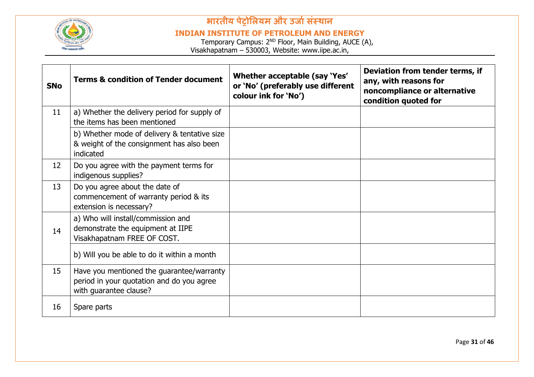

#### **INDIAN INSTITUTE OF PETROLEUM AND ENERGY**

| <b>SNo</b> | <b>Terms &amp; condition of Tender document</b>                                                                  | Whether acceptable (say 'Yes'<br>or 'No' (preferably use different<br>colour ink for 'No') | Deviation from tender terms, if<br>any, with reasons for<br>noncompliance or alternative<br>condition quoted for |
|------------|------------------------------------------------------------------------------------------------------------------|--------------------------------------------------------------------------------------------|------------------------------------------------------------------------------------------------------------------|
| 11         | a) Whether the delivery period for supply of<br>the items has been mentioned                                     |                                                                                            |                                                                                                                  |
|            | b) Whether mode of delivery & tentative size<br>& weight of the consignment has also been<br>indicated           |                                                                                            |                                                                                                                  |
| 12         | Do you agree with the payment terms for<br>indigenous supplies?                                                  |                                                                                            |                                                                                                                  |
| 13         | Do you agree about the date of<br>commencement of warranty period & its<br>extension is necessary?               |                                                                                            |                                                                                                                  |
| 14         | a) Who will install/commission and<br>demonstrate the equipment at IIPE<br>Visakhapatnam FREE OF COST.           |                                                                                            |                                                                                                                  |
|            | b) Will you be able to do it within a month                                                                      |                                                                                            |                                                                                                                  |
| 15         | Have you mentioned the guarantee/warranty<br>period in your quotation and do you agree<br>with guarantee clause? |                                                                                            |                                                                                                                  |
| 16         | Spare parts                                                                                                      |                                                                                            |                                                                                                                  |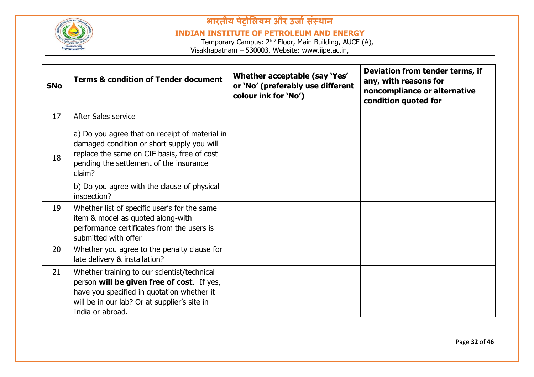

#### **INDIAN INSTITUTE OF PETROLEUM AND ENERGY**

| <b>SNo</b> | <b>Terms &amp; condition of Tender document</b>                                                                                                                                                             | Whether acceptable (say 'Yes'<br>or 'No' (preferably use different<br>colour ink for 'No') | Deviation from tender terms, if<br>any, with reasons for<br>noncompliance or alternative<br>condition quoted for |
|------------|-------------------------------------------------------------------------------------------------------------------------------------------------------------------------------------------------------------|--------------------------------------------------------------------------------------------|------------------------------------------------------------------------------------------------------------------|
| 17         | After Sales service                                                                                                                                                                                         |                                                                                            |                                                                                                                  |
| 18         | a) Do you agree that on receipt of material in<br>damaged condition or short supply you will<br>replace the same on CIF basis, free of cost<br>pending the settlement of the insurance<br>claim?            |                                                                                            |                                                                                                                  |
|            | b) Do you agree with the clause of physical<br>inspection?                                                                                                                                                  |                                                                                            |                                                                                                                  |
| 19         | Whether list of specific user's for the same<br>item & model as quoted along-with<br>performance certificates from the users is<br>submitted with offer                                                     |                                                                                            |                                                                                                                  |
| 20         | Whether you agree to the penalty clause for<br>late delivery & installation?                                                                                                                                |                                                                                            |                                                                                                                  |
| 21         | Whether training to our scientist/technical<br>person will be given free of cost. If yes,<br>have you specified in quotation whether it<br>will be in our lab? Or at supplier's site in<br>India or abroad. |                                                                                            |                                                                                                                  |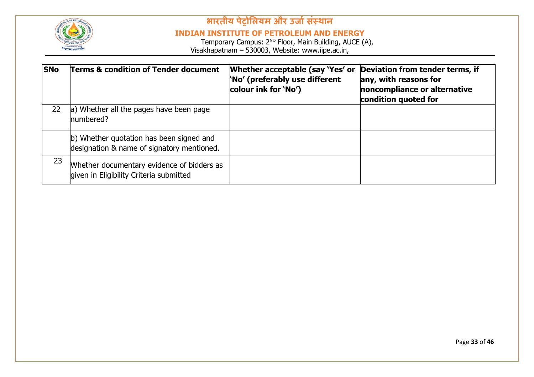

#### **INDIAN INSTITUTE OF PETROLEUM AND ENERGY**

| <b>SNo</b> | <b>Terms &amp; condition of Tender document</b>                                        | Whether acceptable (say 'Yes' or<br>No' (preferably use different<br>colour ink for 'No') | Deviation from tender terms, if<br>any, with reasons for<br>noncompliance or alternative<br>condition quoted for |
|------------|----------------------------------------------------------------------------------------|-------------------------------------------------------------------------------------------|------------------------------------------------------------------------------------------------------------------|
| 22         | a) Whether all the pages have been page<br>numbered?                                   |                                                                                           |                                                                                                                  |
|            | b) Whether quotation has been signed and<br>designation & name of signatory mentioned. |                                                                                           |                                                                                                                  |
| 23         | Whether documentary evidence of bidders as<br>given in Eligibility Criteria submitted  |                                                                                           |                                                                                                                  |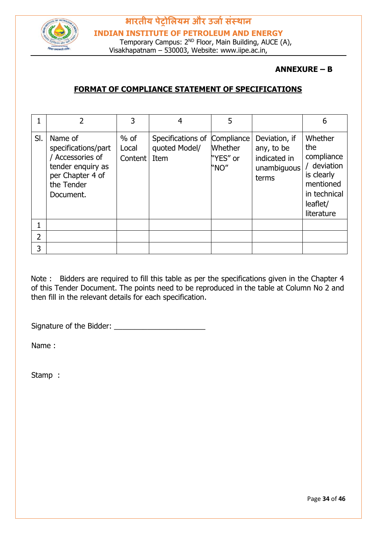

#### **ANNEXURE – B**

#### **FORMAT OF COMPLIANCE STATEMENT OF SPECIFICATIONS**

|     |                                                                                                                      |                            |                                            | 5                                                |                                                                     | 6                                                                                                                |
|-----|----------------------------------------------------------------------------------------------------------------------|----------------------------|--------------------------------------------|--------------------------------------------------|---------------------------------------------------------------------|------------------------------------------------------------------------------------------------------------------|
| SI. | Name of<br>specifications/part<br>Accessories of<br>tender enquiry as<br>per Chapter 4 of<br>the Tender<br>Document. | $%$ of<br>Local<br>Content | Specifications of<br>quoted Model/<br>Item | Compliance<br><b>Whether</b><br>"YES" or<br>"NO" | Deviation, if<br>any, to be<br>indicated in<br>unambiguous<br>terms | Whether<br>the<br>compliance<br>/ deviation<br>is clearly<br>mentioned<br>in technical<br>leaflet/<br>literature |
|     |                                                                                                                      |                            |                                            |                                                  |                                                                     |                                                                                                                  |
| 2   |                                                                                                                      |                            |                                            |                                                  |                                                                     |                                                                                                                  |
| 3   |                                                                                                                      |                            |                                            |                                                  |                                                                     |                                                                                                                  |

Note : Bidders are required to fill this table as per the specifications given in the Chapter 4 of this Tender Document. The points need to be reproduced in the table at Column No 2 and then fill in the relevant details for each specification.

Signature of the Bidder: \_\_\_\_\_\_\_\_\_\_\_\_\_\_\_\_\_\_\_\_\_\_

Name :

Stamp :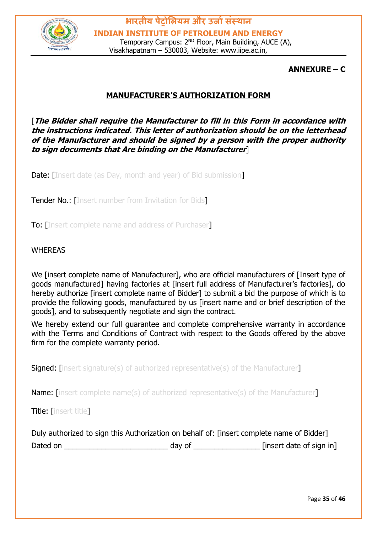

**ANNEXURE – C**

#### **MANUFACTURER'S AUTHORIZATION FORM**

[**The Bidder shall require the Manufacturer to fill in this Form in accordance with the instructions indicated. This letter of authorization should be on the letterhead of the Manufacturer and should be signed by a person with the proper authority to sign documents that Are binding on the Manufacturer**]

**Date:** [Insert date (as Day, month and year) of Bid submission]

**Tender No.: [Insert number from Invitation for Bids]** 

To: [Insert complete name and address of Purchaser]

#### WHEREAS

We [insert complete name of Manufacturer], who are official manufacturers of [Insert type of goods manufactured] having factories at [insert full address of Manufacturer's factories], do hereby authorize [insert complete name of Bidder] to submit a bid the purpose of which is to provide the following goods, manufactured by us [insert name and or brief description of the goods], and to subsequently negotiate and sign the contract.

We hereby extend our full quarantee and complete comprehensive warranty in accordance with the Terms and Conditions of Contract with respect to the Goods offered by the above firm for the complete warranty period.

**Signed:** [insert signature(s) of authorized representative(s) of the Manufacturer]

Name: linsert complete name(s) of authorized representative(s) of the Manufacturer

Title: [insert title]

|          | Duly authorized to sign this Authorization on behalf of: [insert complete name of Bidder] |                          |
|----------|-------------------------------------------------------------------------------------------|--------------------------|
| Dated on | day of                                                                                    | [insert date of sign in] |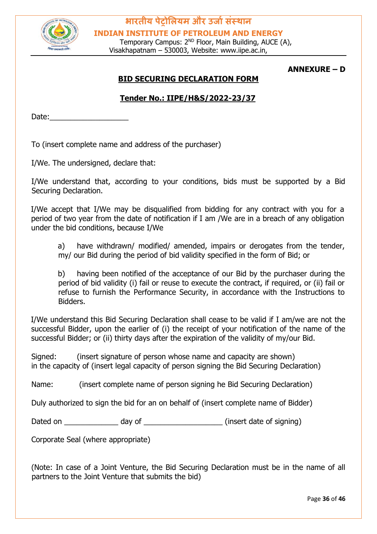

Temporary Campus: 2<sup>ND</sup> Floor, Main Building, AUCE (A), Visakhapatnam – 530003, Website: www.iipe.ac.in,

#### **ANNEXURE – D**

#### **BID SECURING DECLARATION FORM**

#### **Tender No.: IIPE/H&S/2022-23/37**

Date:

To (insert complete name and address of the purchaser)

I/We. The undersigned, declare that:

I/We understand that, according to your conditions, bids must be supported by a Bid Securing Declaration.

I/We accept that I/We may be disqualified from bidding for any contract with you for a period of two year from the date of notification if I am /We are in a breach of any obligation under the bid conditions, because I/We

a) have withdrawn/ modified/ amended, impairs or derogates from the tender, my/ our Bid during the period of bid validity specified in the form of Bid; or

b) having been notified of the acceptance of our Bid by the purchaser during the period of bid validity (i) fail or reuse to execute the contract, if required, or (ii) fail or refuse to furnish the Performance Security, in accordance with the Instructions to Bidders.

I/We understand this Bid Securing Declaration shall cease to be valid if I am/we are not the successful Bidder, upon the earlier of (i) the receipt of your notification of the name of the successful Bidder; or (ii) thirty days after the expiration of the validity of my/our Bid.

Signed: (insert signature of person whose name and capacity are shown) in the capacity of (insert legal capacity of person signing the Bid Securing Declaration)

Name: (insert complete name of person signing he Bid Securing Declaration)

Duly authorized to sign the bid for an on behalf of (insert complete name of Bidder)

Dated on \_\_\_\_\_\_\_\_\_\_\_\_\_\_\_\_ day of \_\_\_\_\_\_\_\_\_\_\_\_\_\_\_\_\_\_\_\_\_\_\_\_ (insert date of signing)

Corporate Seal (where appropriate)

(Note: In case of a Joint Venture, the Bid Securing Declaration must be in the name of all partners to the Joint Venture that submits the bid)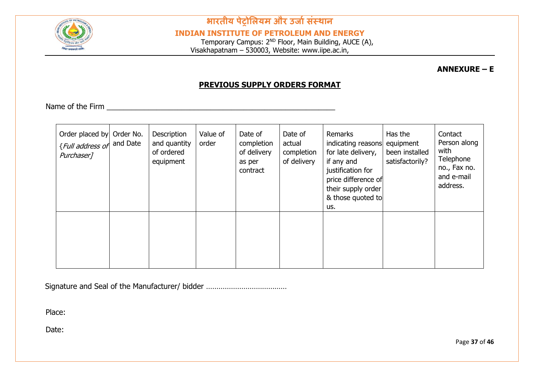

**INDIAN INSTITUTE OF PETROLEUM AND ENERGY**

Temporary Campus: 2<sup>ND</sup> Floor, Main Building, AUCE (A), Visakhapatnam – 530003, Website: www.iipe.ac.in,

**ANNEXURE – E** 

#### **PREVIOUS SUPPLY ORDERS FORMAT**

Name of the Firm  $\blacksquare$ 

| Order placed by Order No.<br><i>{Full address of</i> and Date<br>Purchaser <sub>1</sub> | Description<br>and quantity<br>of ordered<br>equipment | Value of<br>order | Date of<br>completion<br>of delivery<br>as per<br>contract | Date of<br>actual<br>completion<br>of delivery | Remarks<br>indicating reasons<br>for late delivery,<br>if any and<br>justification for<br>price difference of<br>their supply order<br>& those quoted to<br>us. | Has the<br>equipment<br>been installed<br>satisfactorily? | Contact<br>Person along<br>with<br>Telephone<br>no., Fax no.<br>and e-mail<br>address. |
|-----------------------------------------------------------------------------------------|--------------------------------------------------------|-------------------|------------------------------------------------------------|------------------------------------------------|-----------------------------------------------------------------------------------------------------------------------------------------------------------------|-----------------------------------------------------------|----------------------------------------------------------------------------------------|
|                                                                                         |                                                        |                   |                                                            |                                                |                                                                                                                                                                 |                                                           |                                                                                        |

Signature and Seal of the Manufacturer/ bidder …………………………………

Place:

Date: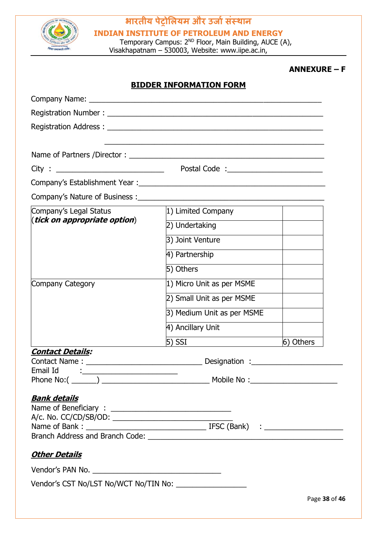

**INDIAN INSTITUTE OF PETROLEUM AND ENERGY**

Temporary Campus: 2<sup>ND</sup> Floor, Main Building, AUCE (A), Visakhapatnam – 530003, Website: www.iipe.ac.in,

#### **ANNEXURE – F**

|                                                                                                                                                                                                                                | <b>BIDDER INFORMATION FORM</b> |               |
|--------------------------------------------------------------------------------------------------------------------------------------------------------------------------------------------------------------------------------|--------------------------------|---------------|
|                                                                                                                                                                                                                                |                                |               |
|                                                                                                                                                                                                                                |                                |               |
| Registration Address: North Address and Address and Address and Address and Address and Address and Address and Address and Address and Address and Address and Address and Address and Address and Address and Address and Ad |                                |               |
|                                                                                                                                                                                                                                |                                |               |
|                                                                                                                                                                                                                                |                                |               |
|                                                                                                                                                                                                                                |                                |               |
|                                                                                                                                                                                                                                |                                |               |
| Company's Nature of Business : ________                                                                                                                                                                                        |                                |               |
| Company's Legal Status                                                                                                                                                                                                         | 1) Limited Company             |               |
| ( <i>tick on appropriate option</i> )                                                                                                                                                                                          | 2) Undertaking                 |               |
|                                                                                                                                                                                                                                | 3) Joint Venture               |               |
|                                                                                                                                                                                                                                | 4) Partnership                 |               |
|                                                                                                                                                                                                                                | 5) Others                      |               |
| Company Category                                                                                                                                                                                                               | 1) Micro Unit as per MSME      |               |
|                                                                                                                                                                                                                                | 2) Small Unit as per MSME      |               |
|                                                                                                                                                                                                                                | 3) Medium Unit as per MSME     |               |
|                                                                                                                                                                                                                                | 4) Ancillary Unit              |               |
|                                                                                                                                                                                                                                | $5)$ SSI                       | 6) Others     |
| <u> Contact Details:</u>                                                                                                                                                                                                       |                                |               |
| Contact Name:                                                                                                                                                                                                                  | Designation :_                 |               |
|                                                                                                                                                                                                                                |                                |               |
| <b>Bank details</b><br><u> Other Details</u>                                                                                                                                                                                   |                                |               |
|                                                                                                                                                                                                                                |                                | Page 38 of 46 |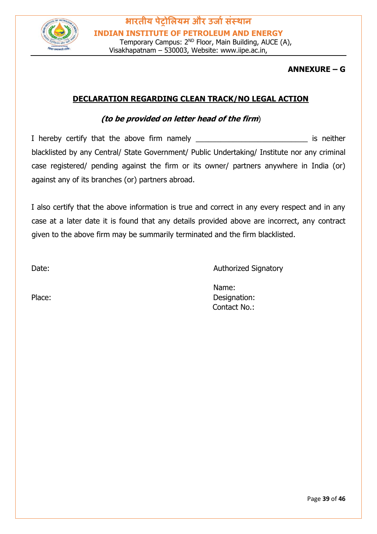

#### **ANNEXURE – G**

#### **DECLARATION REGARDING CLEAN TRACK/NO LEGAL ACTION**

#### **(to be provided on letter head of the firm**)

I hereby certify that the above firm namely \_\_\_\_\_\_\_\_\_\_\_\_\_\_\_\_\_\_\_\_\_\_\_\_\_\_\_\_\_\_\_\_\_\_\_ is neither blacklisted by any Central/ State Government/ Public Undertaking/ Institute nor any criminal case registered/ pending against the firm or its owner/ partners anywhere in India (or) against any of its branches (or) partners abroad.

I also certify that the above information is true and correct in any every respect and in any case at a later date it is found that any details provided above are incorrect, any contract given to the above firm may be summarily terminated and the firm blacklisted.

Date: **Date: Authorized Signatory** 

Name: Place: Designation: Contact No.: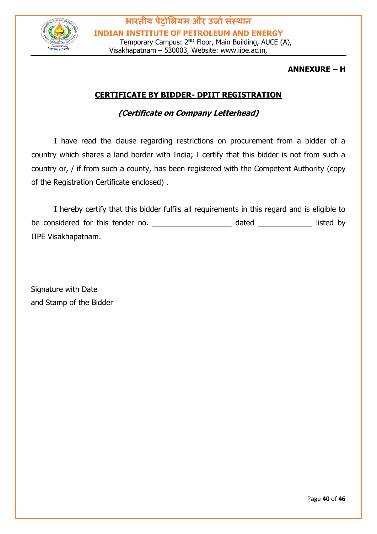

#### **ANNEXURE – H**

#### **CERTIFICATE BY BIDDER- DPIIT REGISTRATION**

#### **(Certificate on Company Letterhead)**

I have read the clause regarding restrictions on procurement from a bidder of a country which shares a land border with India; I certify that this bidder is not from such a country or, / if from such a county, has been registered with the Competent Authority (copy of the Registration Certificate enclosed) .

I hereby certify that this bidder fulfils all requirements in this regard and is eligible to be considered for this tender no. The considered for this tender no. IIPE Visakhapatnam.

Signature with Date and Stamp of the Bidder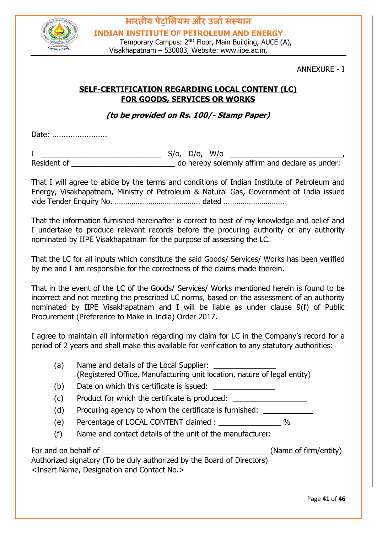

#### ANNEXURE - I

#### **SELF-CERTIFICATION REGARDING LOCAL CONTENT (LC) FOR GOODS, SERVICES OR WORKS**

**(to be provided on Rs. 100/- Stamp Paper)**

Date: ........................

I \_\_\_\_\_\_\_\_\_\_\_\_\_\_\_\_\_\_\_\_\_\_\_\_\_\_\_\_\_ S/o, D/o, W/o \_\_\_\_\_\_\_\_\_\_\_\_\_\_\_\_\_\_\_\_\_\_\_\_\_\_\_, Resident of **Example 20** Resident of **Resident of**  $\alpha$  and  $\beta$  do hereby solemnly affirm and declare as under:

That I will agree to abide by the terms and conditions of Indian Institute of Petroleum and Energy, Visakhapatnam, Ministry of Petroleum & Natural Gas, Government of India issued vide Tender Enquiry No. ………….………………………. dated ……….……………….

That the information furnished hereinafter is correct to best of my knowledge and belief and I undertake to produce relevant records before the procuring authority or any authority nominated by IIPE Visakhapatnam for the purpose of assessing the LC.

That the LC for all inputs which constitute the said Goods/ Services/ Works has been verified by me and I am responsible for the correctness of the claims made therein.

That in the event of the LC of the Goods/ Services/ Works mentioned herein is found to be incorrect and not meeting the prescribed LC norms, based on the assessment of an authority nominated by IIPE Visakhapatnam and I will be liable as under clause 9(f) of Public Procurement (Preference to Make in India) Order 2017.

I agree to maintain all information regarding my claim for LC in the Company's record for a period of 2 years and shall make this available for verification to any statutory authorities:

| (a)                  | Name and details of the Local Supplier:<br>(Registered Office, Manufacturing unit location, nature of legal entity) |                       |
|----------------------|---------------------------------------------------------------------------------------------------------------------|-----------------------|
| (b)                  | Date on which this certificate is issued:                                                                           |                       |
| (c)                  | Product for which the certificate is produced:                                                                      |                       |
| (d)                  | Procuring agency to whom the certificate is furnished:                                                              |                       |
| (e)                  |                                                                                                                     |                       |
| (f)                  | Name and contact details of the unit of the manufacturer:                                                           |                       |
| For and on behalf of |                                                                                                                     | (Name of firm/entity) |
|                      | Authorized signatory (To be duly authorized by the Board of Directors)                                              |                       |
|                      | <insert and="" contact="" designation="" name,="" no.=""></insert>                                                  |                       |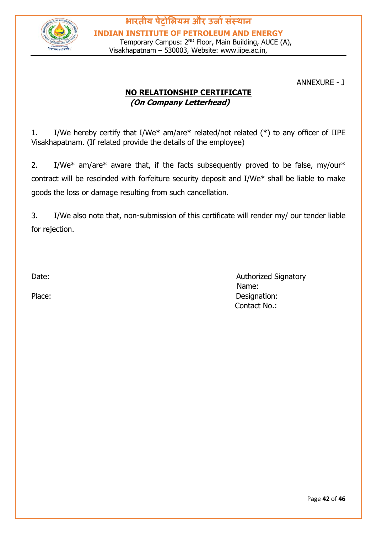

ANNEXURE - J

#### **NO RELATIONSHIP CERTIFICATE (On Company Letterhead)**

1. I/We hereby certify that I/We\* am/are\* related/not related (\*) to any officer of IIPE Visakhapatnam. (If related provide the details of the employee)

2. I/We\* am/are\* aware that, if the facts subsequently proved to be false, my/our\* contract will be rescinded with forfeiture security deposit and I/We\* shall be liable to make goods the loss or damage resulting from such cancellation.

3. I/We also note that, non-submission of this certificate will render my/ our tender liable for rejection.

Date: **Authorized Signatory**  Name: Place: Designation: Contact No.: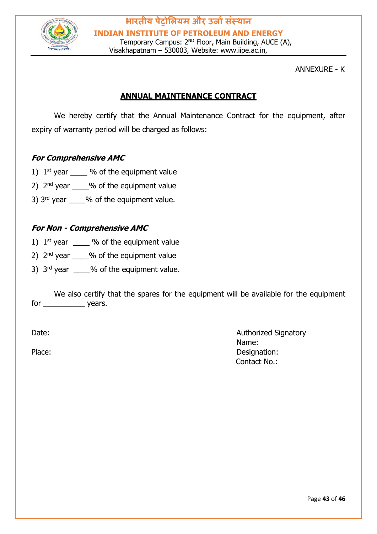

ANNEXURE - K

#### **ANNUAL MAINTENANCE CONTRACT**

We hereby certify that the Annual Maintenance Contract for the equipment, after expiry of warranty period will be charged as follows:

#### **For Comprehensive AMC**

- 1)  $1^{st}$  year  $\frac{9}{6}$  of the equipment value
- 2)  $2<sup>nd</sup>$  year  $\frac{9}{6}$  of the equipment value
- 3)  $3<sup>rd</sup>$  year  $\frac{9}{6}$  of the equipment value.

#### **For Non - Comprehensive AMC**

- 1)  $1^{st}$  year  $\%$  of the equipment value
- 2)  $2<sup>nd</sup>$  vear  $\frac{9}{6}$  of the equipment value
- 3)  $3<sup>rd</sup>$  year  $\_\_\_\_\%$  of the equipment value.

We also certify that the spares for the equipment will be available for the equipment for \_\_\_\_\_\_\_\_\_\_\_\_\_ years.

Date: **Authorized Signatory Contract Contract Contract Contract Contract Contract Contract Contract Contract Contract Contract Contract Contract Contract Contract Contract Contract Contract Contract Contract Contract Con**  Name: Place: Designation: Contact No.: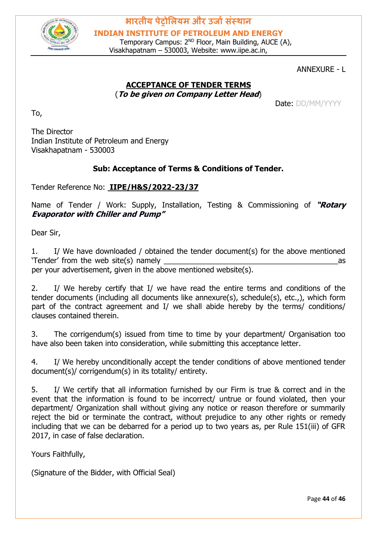

Temporary Campus: 2<sup>ND</sup> Floor, Main Building, AUCE (A), Visakhapatnam – 530003, Website: www.iipe.ac.in,

#### ANNEXURE - L

#### **ACCEPTANCE OF TENDER TERMS** (**To be given on Company Letter Head**)

Date: DD/MM/YYYY

The Director Indian Institute of Petroleum and Energy Visakhapatnam - 530003

#### **Sub: Acceptance of Terms & Conditions of Tender.**

#### Tender Reference No: **IIPE/H&S/2022-23/37**

Name of Tender / Work: Supply, Installation, Testing & Commissioning of **"Rotary Evaporator with Chiller and Pump"** 

Dear Sir,

To,

1. I/ We have downloaded / obtained the tender document(s) for the above mentioned 'Tender' from the web site(s) namely \_\_\_\_\_\_\_\_\_\_\_\_\_\_\_\_\_\_\_\_\_\_\_\_\_\_\_\_\_\_\_\_\_\_\_\_\_\_\_\_\_\_as per your advertisement, given in the above mentioned website(s).

2. I/ We hereby certify that I/ we have read the entire terms and conditions of the tender documents (including all documents like annexure(s), schedule(s), etc.,), which form part of the contract agreement and I/ we shall abide hereby by the terms/ conditions/ clauses contained therein.

3. The corrigendum(s) issued from time to time by your department/ Organisation too have also been taken into consideration, while submitting this acceptance letter.

4. I/ We hereby unconditionally accept the tender conditions of above mentioned tender document(s)/ corrigendum(s) in its totality/ entirety.

5. I/ We certify that all information furnished by our Firm is true & correct and in the event that the information is found to be incorrect/ untrue or found violated, then your department/ Organization shall without giving any notice or reason therefore or summarily reject the bid or terminate the contract, without prejudice to any other rights or remedy including that we can be debarred for a period up to two years as, per Rule 151(iii) of GFR 2017, in case of false declaration.

Yours Faithfully,

(Signature of the Bidder, with Official Seal)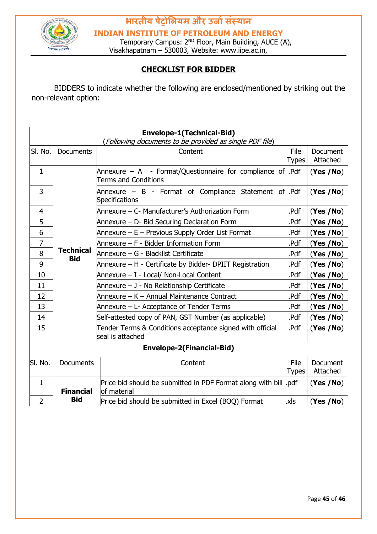

**INDIAN INSTITUTE OF PETROLEUM AND ENERGY**

Temporary Campus: 2<sup>ND</sup> Floor, Main Building, AUCE (A), Visakhapatnam – 530003, Website: www.iipe.ac.in,

#### **CHECKLIST FOR BIDDER**

BIDDERS to indicate whether the following are enclosed/mentioned by striking out the non-relevant option:

| <b>Envelope-1(Technical-Bid)</b><br>(Following documents to be provided as single PDF file) |                                |                                                                                              |                      |                             |  |  |
|---------------------------------------------------------------------------------------------|--------------------------------|----------------------------------------------------------------------------------------------|----------------------|-----------------------------|--|--|
| SI. No.                                                                                     | <b>Documents</b>               | Content                                                                                      | File<br><b>Types</b> | <b>Document</b><br>Attached |  |  |
| $\mathbf{1}$                                                                                |                                | Annexure $-$ A $-$ Format/Questionnaire for compliance of Pdf<br><b>Terms and Conditions</b> |                      | (Yes / No)                  |  |  |
| 3                                                                                           |                                | Annexure – B - Format of Compliance Statement of Pdf<br>Specifications                       |                      | (Yes / No)                  |  |  |
| $\overline{4}$                                                                              |                                | Annexure – C- Manufacturer's Authorization Form                                              | .Pdf                 | (Yes /No)                   |  |  |
| 5                                                                                           |                                | Annexure - D- Bid Securing Declaration Form                                                  | .Pdf                 | (Yes / No)                  |  |  |
| 6                                                                                           |                                | Annexure – E – Previous Supply Order List Format                                             | .Pdf                 | (Yes /No)                   |  |  |
| 7                                                                                           |                                | Annexure – F - Bidder Information Form                                                       | .Pdf                 | (Yes / No)                  |  |  |
| 8                                                                                           | <b>Technical</b><br><b>Bid</b> | .Pdf<br>Annexure – G - Blacklist Certificate                                                 |                      | (Yes / No)                  |  |  |
| 9                                                                                           |                                | Annexure – H - Certificate by Bidder- DPIIT Registration<br>.Pdf                             |                      | (Yes / No)                  |  |  |
| 10                                                                                          |                                | Annexure - I - Local/ Non-Local Content<br>.Pdf                                              |                      | (Yes / No)                  |  |  |
| 11                                                                                          |                                | Annexure - J - No Relationship Certificate<br>.Pdf                                           |                      | (Yes /No)                   |  |  |
| 12                                                                                          |                                | Annexure - K - Annual Maintenance Contract                                                   |                      | (Yes / No)                  |  |  |
| 13                                                                                          |                                | Annexure – L- Acceptance of Tender Terms                                                     |                      | (Yes / No)                  |  |  |
| 14                                                                                          |                                | Self-attested copy of PAN, GST Number (as applicable)                                        | .Pdf                 | (Yes / No)                  |  |  |
| 15                                                                                          |                                | Tender Terms & Conditions acceptance signed with official<br>seal is attached                | .Pdf                 | (Yes / No)                  |  |  |
| <b>Envelope-2(Financial-Bid)</b>                                                            |                                |                                                                                              |                      |                             |  |  |
| SI. No.                                                                                     | <b>Documents</b>               | Content                                                                                      | File<br>Types        | Document<br>Attached        |  |  |
| $\mathbf{1}$                                                                                | <b>Financial</b>               | Price bid should be submitted in PDF Format along with bill odf<br>of material               |                      | (Yes / No)                  |  |  |
| $\overline{2}$                                                                              | <b>Bid</b>                     | Price bid should be submitted in Excel (BOQ) Format                                          | .xls                 | (Yes / No)                  |  |  |